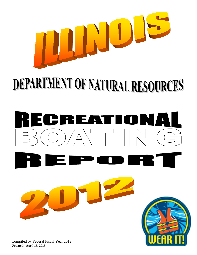

# DEPARTMENT OF NATURAL RESOURCES

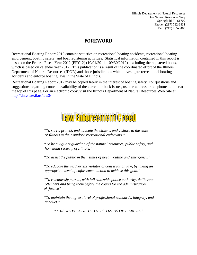Illinois Department of Natural Resources One Natural Resources Way Springfield, IL 61702 Phone: (217) 782-6431 Fax: (217) 785-8405

#### **FOREWORD**

Recreational Boating Report 2012 contains statistics on recreational boating accidents, recreational boating enforcement, boating safety, and boat registering activities. Statistical information contained in this report is based on the Federal Fiscal Year 2012 (FFY12) (10/01/2011 – 09/30/2012), excluding the registered boats, which is based on calendar year 2012. This publication is a result of the coordinated effort of the Illinois Department of Natural Resources (IDNR) and those jurisdictions which investigate recreational boating accidents and enforce boating laws in the State of Illinois.

Recreational Boating Report 2012 may be copied freely in the interest of boating safety. For questions and suggestions regarding content, availability of the current or back issues, use the address or telephone number at the top of this page. For an electronic copy, visit the Illinois Department of Natural Resources Web Site at [http://dnr.state.il.us/law3/](http://dnr.state.il.us/)

## Law Enforcement Greed

*"To serve, protect, and educate the citizens and visitors to the state of Illinois in their outdoor recreational endeavors."*

*"To be a vigilant guardian of the natural resources, public safety, and homeland security of Illinois."*

*"To assist the public in their times of need; routine and emergency."*

*"To educate the inadvertent violator of conservation law, by taking an appropriate level of enforcement action to achieve this goal."*

*"To relentlessly pursue, with full statewide police authority, deliberate offenders and bring them before the courts for the administration of justice"*

*"To maintain the highest level of professional standards, integrity, and conduct."*

*"THIS WE PLEDGE TO THE CITIZENS OF ILLINOIS."*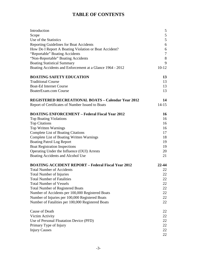#### **TABLE OF CONTENTS**

| Introduction                                              | 5       |
|-----------------------------------------------------------|---------|
| Scope                                                     | 5       |
| Use of the Statistics                                     | 5       |
| <b>Reporting Guidelines for Boat Accidents</b>            | 6       |
| How Do I Report A Boating Violation or Boat Accident?     | 6       |
| "Reportable" Boating Accidents                            | 7       |
| "Non-Reportable" Boating Accidents                        | 8       |
| <b>Boating Statistical Summary</b>                        | 9       |
| Boating Accidents and Enforcement at a Glance 1964 - 2012 | $10-12$ |
| <b>BOATING SAFETY EDUCATION</b>                           | 13      |
| <b>Traditional Course</b>                                 | 13      |
| <b>Boat-Ed Internet Course</b>                            | 13      |
| BoaterExam.com Course                                     | 13      |
| <b>REGISTERED RECREATIONAL BOATS - Calendar Year 2012</b> | 14      |
| Report of Certificates of Number Issued to Boats          | $14-15$ |
| <b>BOATING ENFORCEMENT - Federal Fiscal Year 2012</b>     | 16      |
| <b>Top Boating Violations</b>                             | 16      |
| <b>Top Citations</b>                                      | 16      |
| Top Written Warnings                                      | 16      |
| <b>Complete List of Boating Citations</b>                 | 17      |
| <b>Complete List of Boating Written Warnings</b>          | 18      |
| <b>Boating Patrol Log Report</b>                          | 19      |
| <b>Boat Registration Inspections</b>                      | 19      |
| Operating Under the Influence (OUI) Arrests               | 20      |
| Boating Accidents and Alcohol Use                         | 21      |
| <b>BOATING ACCIDENT REPORT - Federal Fiscal Year 2012</b> | 22-44   |
| <b>Total Number of Accidents</b>                          | 22      |
| <b>Total Number of Injuries</b>                           | 22      |
| <b>Total Number of Fatalities</b>                         | 22      |
| <b>Total Number of Vessels</b>                            | 22      |
| <b>Total Number of Registered Boats</b>                   | 22      |
| Number of Accidents per 100,000 Registered Boats          | 22      |
| Number of Injuries per 100,000 Registered Boats           | 22      |
| Number of Fatalities per 100,000 Registered Boats         | 22      |
| <b>Cause of Death</b>                                     | 22      |
| Victim Activity                                           | 22      |
| Use of Personal Floatation Device (PFD)                   | 22      |
| Primary Type of Injury                                    | 22      |
| <b>Injury Causes</b>                                      | 22      |
|                                                           | 22      |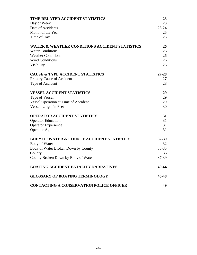| TIME RELATED ACCIDENT STATISTICS                          | 23        |
|-----------------------------------------------------------|-----------|
| Day of Week                                               | 23        |
| Date of Accidents                                         | $23 - 24$ |
| Month of the Year                                         | 25        |
| Time of Day                                               | 25        |
| <b>WATER &amp; WEATHER CONDITIONS ACCIDENT STATISTICS</b> | 26        |
| <b>Water Conditions</b>                                   | 26        |
| <b>Weather Conditions</b>                                 | 26        |
| <b>Wind Conditions</b>                                    | 26        |
| Visibility                                                | 26        |
| <b>CAUSE &amp; TYPE ACCIDENT STATISTICS</b>               | $27 - 28$ |
| Primary Cause of Accident                                 | 27        |
| Type of Accident                                          | 28        |
| <b>VESSEL ACCIDENT STATISTICS</b>                         | 29        |
| Type of Vessel                                            | 29        |
| <b>Vessel Operation at Time of Accident</b>               | 29        |
| Vessel Length in Feet                                     | 30        |
| <b>OPERATOR ACCIDENT STATISTICS</b>                       | 31        |
| <b>Operator Education</b>                                 | 31        |
| <b>Operator Experience</b>                                | 31        |
| <b>Operator Age</b>                                       | 31        |
| <b>BODY OF WATER &amp; COUNTY ACCIDENT STATISTICS</b>     | 32-39     |
| Body of Water                                             | 32        |
| Body of Water Broken Down by County                       | $33 - 35$ |
| County                                                    | 36        |
| County Broken Down by Body of Water                       | 37-39     |
| <b>BOATING ACCIDENT FATALITY NARRATIVES</b>               | 40-44     |
| <b>GLOSSARY OF BOATING TERMINOLOGY</b>                    | 45-48     |
| <b>CONTACTING A CONSERVATION POLICE OFFICER</b>           | 49        |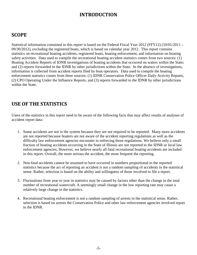#### **INTRODUCTION**

#### **SCOPE**

Statistical information contained in this report is based on the Federal Fiscal Year 2012 (FFY12) (10/01/2011 – 09/30/2012), excluding the registered boats, which is based on calendar year 2012. This report contains statistics on recreational boating accidents, registered boats, boating enforcement, and information on boating safety activities. Data used to compile the recreational boating accident statistics comes from two sources: (1) Boating Accident Reports of IDNR investigations of boating accidents that occurred on waters within the State; and (2) reports forwarded to the IDNR by other jurisdictions within the State. In the absence of investigations, information is collected from accident reports filed by boat operators. Data used to compile the boating enforcement statistics comes from three sources: (1) IDNR Conservation Police Officer Daily Activity Reports, (2) CPO Operating Under the Influence Reports, and (3) reports forwarded to the IDNR by other jurisdictions within the State.

#### **USE OF THE STATISTICS**

Users of the statistics in this report need to be aware of the following facts that may affect results of analyses of accident report data:

- 1. Some accidents are not in the system because they are not required to be reported. Many more accidents are not reported because boaters are not aware of the accident reporting regulations as well as the difficulty law enforcement agencies encounter in enforcing those regulations. We believe only a small fraction of boating accidents occurring in the State of Illinois are not reported to the IDNR or local law enforcement agencies. However, we believe nearly all fatal recreational boating accidents are included in this report. Overall, the more serious the accident, the more frequent the reporting.
- 2. Non-fatal accidents cannot be assumed to have occurred in numbers proportional to the reported statistics because the act of reporting an accident is not a random sampling of accidents in the statistical sense. Rather, selection is based on the ability and willingness of those involved to file a report.
- 3. Fluctuations from year to year in statistics may be caused by factors other than the change in the total number of recreational watercraft. A seemingly small change in the low reporting rate may cause a relatively large change in the statistics.
- 4. Recreational boating enforcement is not a random sampling of arrests in the statistical sense. Rather, selection is based on arrests the Conservation Police and other law enforcement agencies involved report to the IDNR.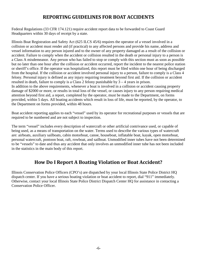#### **REPORTING GUIDELINES FOR BOAT ACCIDENTS**

Federal Regulations (33 CFR 174.121) require accident report data to be forwarded to Coast Guard Headquarters within 30 days of receipt by a state.

Illinois Boat Registration and Safety Act (625 ILCS 45/6) requires the operator of a vessel involved in a collision or accident must render aid (if practical) to any affected persons and provide his name, address and vessel information to any person injured and to the owner of any property damaged as a result of the collision or accident. Failure to comply when the accident or collision resulted in the death or personal injury to a person is a Class A misdemeanor. Any person who has failed to stop or comply with this section must as soon as possible but no later than one hour after the collision or accident occurred, report the incident to the nearest police station or sheriff's office. If the operator was hospitalized, this report must be filed within one hour of being discharged from the hospital. If the collision or accident involved personal injury to a person, failure to comply is a Class 4 felony. Personal injury is defined as any injury requiring treatment beyond first aid. If the collision or accident resulted in death, failure to comply is a Class 2 felony punishable by 3 – 4 years in prison. In addition to the above requirements, whenever a boat is involved in a collision or accident causing property damage of \$2000 or more, or results in total loss of the vessel, or causes injury to any person requiring medical attention beyond first aid, a report, completed by the operator, must be made to the Department, on forms

provided, within 5 days. All boating accidents which result in loss of life, must be reported, by the operator, to the Department on forms provided, within 48 hours.

Boat accident reporting applies to each "vessel" used by its operator for recreational purposes or vessels that are required to be numbered and are not subject to inspection.

The term "vessel" includes every description of watercraft or other artificial contrivance used, or capable of being used, as a means of transportation on the water. Terms used to describe the various types of watercraft are: airboats, auxiliary sailboats, cabin motorboat, canoe, houseboat, inflatable boat, kayak, open motorboat, personal watercraft, pontoon boat, raft, rowboat, and sailboat. Unmodified inner tubes have not been determined to be "vessels" to date and thus any accident that only involves an unmodified inner tube has not been included in the statistics in the main body of this report.

#### **How Do I Report A Boating Violation or Boat Accident?**

Illinois Conservation Police Officers (CPO's) are dispatched by your local Illinois State Police District HQ dispatch center. If you have a serious boating violation or boat accident to report, dial "911" immediately. Otherwise, contact your local Illinois State Police District Dispatch Center HQ for assistance in contacting a Conservation Police Officer.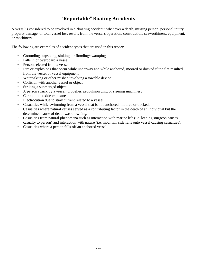#### **"Reportable" Boating Accidents**

A *vessel* is considered to be involved in a "boating accident" whenever a death, missing person, personal injury, property damage, or total vessel loss results from the vessel's operation, construction, seaworthiness, equipment, or machinery.

The following are examples of accident types that are used in this report:

- Grounding, capsizing, sinking, or flooding/swamping
- Falls in or overboard a vessel
- Persons ejected from a vessel
- Fire or explosions that occur while underway and while anchored, moored or docked if the fire resulted from the vessel or vessel equipment.
- Water-skiing or other mishap involving a towable device
- Collision with another vessel or object
- Striking a submerged object
- A person struck by a vessel, propeller, propulsion unit, or steering machinery
- Carbon monoxide exposure
- Electrocution due to stray current related to a vessel
- Casualties while swimming from a vessel that is not anchored, moored or docked.
- Casualties where natural causes served as a contributing factor in the death of an individual but the determined cause of death was drowning.
- Casualties from natural phenomena such as interaction with marine life (i.e. leaping sturgeon causes casualty to person) and interaction with nature (i.e. mountain side falls onto vessel causing casualties).
- Casualties where a person falls off an anchored vessel.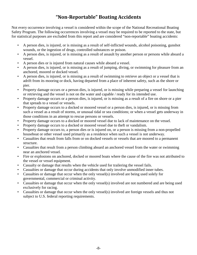#### **"Non-Reportable" Boating Accidents**

Not every occurrence involving a vessel is considered within the scope of the National Recreational Boating Safety Program. The following occurrences involving a vessel may be required to be reported to the state, but for statistical purposes are excluded from this report and are considered "non-reportable" boating accidents:

- A person dies, is injured, or is missing as a result of self-inflicted wounds, alcohol poisoning, gunshot wounds, or the ingestion of drugs, controlled substances or poison.
- A person dies, is injured, or is missing as a result of assault by another person or persons while aboard a vessel.
- A person dies or is injured from natural causes while aboard a vessel.
- A person dies, is injured, or is missing as a result of jumping, diving, or swimming for pleasure from an anchored, moored or docked vessel.
- A person dies, is injured, or is missing as a result of swimming to retrieve an object or a vessel that is adrift from its mooring or dock, having departed from a place of inherent safety, such as the shore or pier.
- Property damage occurs or a person dies, is injured, or is missing while preparing a vessel for launching or retrieving and the vessel is not on the water and capable / ready for its intended use.
- Property damage occurs or a person dies, is injured, or is missing as a result of a fire on shore or a pier that spreads to a vessel or vessels.
- Property damage occurs to a docked or moored vessel or a person dies, is injured, or is missing from such a vessel as a result of storms, or unusual tidal or sea conditions; or when a vessel gets underway in those conditions in an attempt to rescue persons or vessels.
- Property damage occurs to a docked or moored vessel due to lack of maintenance on the vessel.
- Property damage occurs to a docked or moored vessel due to theft or vandalism.
- Property damage occurs to, a person dies or is injured on, or a person is missing from a non-propelled houseboat or other vessel used primarily as a residence when such a vessel is not underway.
- Casualties that result from falls from or on docked vessels or vessels that are moored to a permanent structure.
- Casualties that result from a person climbing aboard an anchored vessel from the water or swimming near an anchored vessel.
- Fire or explosions on anchored, docked or moored boats where the cause of the fire was not attributed to the vessel or vessel equipment.
- Casualty or damage that results when the vehicle used for trailering the vessel fails.
- Casualties or damage that occur during accidents that only involve unmodified inner tubes.
- Casualties or damage that occur when the only vessel(s) involved are being used solely for governmental, commercial or criminal activity.
- Casualties or damage that occur when the only vessel(s) involved are not numbered and are being used exclusively for racing.
- Casualties or damage that occur when the only vessel(s) involved are foreign vessels and thus not subject to U.S. federal reporting requirements.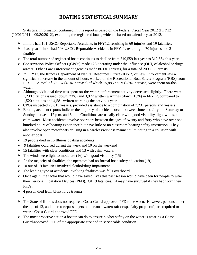#### **BOATING STATISTICAL SUMMARY**

Statistical information contained in this report is based on the Federal Fiscal Year 2012 (FFY12)  $(10/01/2011 - 09/30/2012)$ , excluding the registered boats, which is based on calendar year 2012.

- Illinois had 101 USCG Reportable Accidents in FFY12, resulting in 69 injuries and 19 fatalities.
- $\triangleright$  Last year Illinois had 103 USCG Reportable Accidents in FFY11, resulting in 70 injuries and 21 fatalities.
- $\triangleright$  The total number of registered boats continues to decline from 319,559 last year to 312,664 this year.
- $\triangleright$  Conservation Police Officers (CPOs) made 123 operating under the influence (OUI) of alcohol or drugs arrests. Other Law Enforcement agencies made 86 OUI arrests, for a total of 209 OUI arrests.
- $\triangleright$  In FFY12, the Illinois Department of Natural Resources Office (IDNR) of Law Enforcement saw a significant increase in the amount of hours worked on the Recreational Boat Safety Program (RBS) from FFY11. A total of 50,664 (46% increase) of which 15,885 hours (28% increase) were spent on-thewater.
- $\triangleright$  Although additional time was spent on-the-water, enforcement activity decreased slightly. There were 1,230 citations issued (down .23%) and 3,972 written warnings (down .15%) in FFY12, compared to 1,520 citations and 4,581 written warnings the previous year.
- $\triangleright$  CPOs inspected 20,015 vessels, provided assistance to a combination of 2,231 persons and vessels
- Boating accident reports indicate the majority of accidents occur between June and July, on Saturday or Sunday, between 12 p.m. and 6 p.m. Conditions are usually clear with good visibility, light winds, and calm water. Most accidents involve operators between the ages of twenty and forty who have over one hundred hours of boating experience but have little or no classroom boating safety instruction. They also involve open motorboats cruising in a careless/reckless manner culminating in a collision with another boat.
- $\geq 19$  people died in 16 Illinois boating accidents.
- $\geq 9$  fatalities occurred during the week and 10 on the weekend
- $\geq 15$  fatalities with clear conditions and 13 with calm waters.
- $\triangleright$  The winds were light to moderate (16) with good visibility (15)
- $\triangleright$  In the majority of fatalities, the operators had no formal boat safety education (19).
- $\geq 10$  out of 19 fatalities involved alcohol/drug impairment
- $\triangleright$  The leading type of accidents involving fatalities was falls overboard
- $\triangleright$  Once again, the factor that would have saved lives this past season would have been for people to wear their Personal Floatation Devices (PFD). Of 19 fatalities, 14 may have survived if they had worn their PFDs.
- $\geq 4$  person died from blunt force trauma

.

- The State of Illinois does not require a Coast Guard-approved PFD to be worn. However, persons under the age of 13, and operators/passengers on personal watercraft or specialty prop-craft, are required to wear a Coast Guard-approved PFD.
- $\triangleright$  The most proactive action a boater can do to ensure his/her safety on the water is wearing a Coast Guard-approved PFD of the appropriate size and in serviceable condition.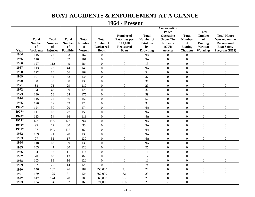#### **BOAT ACCIDENTS & ENFORCEMENT AT A GLANCE**

#### **1964 - Present**

|       | <b>Total</b><br><b>Number</b><br>of | <b>Total</b><br><b>Number</b><br><b>of</b> | <b>Total</b><br><b>Number</b><br>of | <b>Total</b><br><b>Number</b><br><b>of</b> | <b>Total</b><br>Number of<br><b>Registered</b> | <b>Number of</b><br><b>Fatalities</b> per<br>100,000<br><b>Registered</b> | <b>Total</b><br><b>Number of</b><br><b>Fatalities</b><br>by | Conservation<br><b>Police</b><br><b>Operating</b><br><b>Under The</b><br><b>Influence</b><br>(OUI) | <b>Total</b><br><b>Number</b><br>of<br><b>Boating</b> | <b>Total</b><br><b>Number</b><br>of<br><b>Boating</b><br>Written | <b>Total Hours</b><br>Worked on the<br><b>Recreational</b><br><b>Boat Safety</b> |
|-------|-------------------------------------|--------------------------------------------|-------------------------------------|--------------------------------------------|------------------------------------------------|---------------------------------------------------------------------------|-------------------------------------------------------------|----------------------------------------------------------------------------------------------------|-------------------------------------------------------|------------------------------------------------------------------|----------------------------------------------------------------------------------|
| Year  | <b>Accidents</b>                    | <b>Injuries</b>                            | <b>Fatalities</b>                   | <b>Vessels</b>                             | <b>Boats</b>                                   | <b>Boats</b>                                                              | <b>Drowning</b>                                             | <b>Arrests</b>                                                                                     | <b>Citations</b>                                      | <b>Warnings</b>                                                  | Program (RBS)                                                                    |
| 1964  | 115                                 | 72                                         | 33                                  | 167                                        | $\overline{0}$                                 | $\boldsymbol{0}$                                                          | <b>NA</b>                                                   | $\mathbf{0}$                                                                                       | $\theta$                                              | $\boldsymbol{0}$                                                 | $\mathbf{0}$                                                                     |
| 1965  | 116                                 | 48                                         | 52                                  | 161                                        | $\boldsymbol{0}$                               | $\boldsymbol{0}$                                                          | <b>NA</b>                                                   | $\boldsymbol{0}$                                                                                   | $\boldsymbol{0}$                                      | $\boldsymbol{0}$                                                 | $\boldsymbol{0}$                                                                 |
| 1966  | 127                                 | 112                                        | 49                                  | 184                                        | $\overline{0}$                                 | $\mathbf{0}$                                                              | 13                                                          | $\overline{0}$                                                                                     | $\boldsymbol{0}$                                      | $\overline{0}$                                                   | $\mathbf{0}$                                                                     |
| 1967  | 113                                 | 73                                         | 44                                  | 146                                        | $\overline{0}$                                 | $\mathbf{0}$                                                              | <b>NA</b>                                                   | $\overline{0}$                                                                                     | $\overline{0}$                                        | $\overline{0}$                                                   | $\mathbf{0}$                                                                     |
| 1968  | 122                                 | 80                                         | 56                                  | 162                                        | $\boldsymbol{0}$                               | $\boldsymbol{0}$                                                          | 54                                                          | $\overline{0}$                                                                                     | $\boldsymbol{0}$                                      | $\overline{0}$                                                   | $\boldsymbol{0}$                                                                 |
| 1969  | 101                                 | 54                                         | 42                                  | 136                                        | $\boldsymbol{0}$                               | $\mathbf{0}$                                                              | 37                                                          | $\overline{0}$                                                                                     | $\boldsymbol{0}$                                      | $\overline{0}$                                                   | $\boldsymbol{0}$                                                                 |
| 1970  | 98                                  | 58                                         | 38                                  | 133                                        | $\boldsymbol{0}$                               | $\mathbf{0}$                                                              | 31                                                          | $\overline{0}$                                                                                     | $\boldsymbol{0}$                                      | $\boldsymbol{0}$                                                 | $\boldsymbol{0}$                                                                 |
| 1971  | 88                                  | 73                                         | 29                                  | 119                                        | $\boldsymbol{0}$                               | $\mathbf{0}$                                                              | 29                                                          | $\boldsymbol{0}$                                                                                   | $\mathbf{0}$                                          | $\boldsymbol{0}$                                                 | $\boldsymbol{0}$                                                                 |
| 1972  | 94                                  | 43                                         | 39                                  | 129                                        | $\overline{0}$                                 | $\mathbf{0}$                                                              | 37                                                          | $\overline{0}$                                                                                     | $\overline{0}$                                        | $\boldsymbol{0}$                                                 | $\mathbf{0}$                                                                     |
| 1973  | 130                                 | 58                                         | 64                                  | 175                                        | $\overline{0}$                                 | $\boldsymbol{0}$                                                          | 59                                                          | $\overline{0}$                                                                                     | $\mathbf{0}$                                          | $\boldsymbol{0}$                                                 | $\boldsymbol{0}$                                                                 |
| 1974  | 115                                 | 62                                         | 56                                  | 152                                        | $\boldsymbol{0}$                               | $\mathbf{0}$                                                              | 52                                                          | $\boldsymbol{0}$                                                                                   | $\overline{0}$                                        | $\boldsymbol{0}$                                                 | $\boldsymbol{0}$                                                                 |
| 1975  | 126                                 | 87                                         | 43                                  | 178                                        | $\boldsymbol{0}$                               | $\boldsymbol{0}$                                                          | 34                                                          | $\overline{0}$                                                                                     | $\boldsymbol{0}$                                      | $\overline{0}$                                                   | $\boldsymbol{0}$                                                                 |
| 1976* | 124                                 | 30                                         | 20                                  | 174                                        | $\boldsymbol{0}$                               | $\mathbf{0}$                                                              | <b>NA</b>                                                   | $\overline{0}$                                                                                     | $\overline{0}$                                        | $\boldsymbol{0}$                                                 | $\boldsymbol{0}$                                                                 |
| 1977* | 111                                 | 18                                         | 27                                  | 159                                        | $\overline{0}$                                 | $\overline{0}$                                                            | <b>NA</b>                                                   | $\overline{0}$                                                                                     | $\overline{0}$                                        | $\overline{0}$                                                   | $\mathbf{0}$                                                                     |
| 1978* | 113                                 | 54                                         | 36                                  | 118                                        | $\overline{0}$                                 | $\overline{0}$                                                            | <b>NA</b>                                                   | $\overline{0}$                                                                                     | $\boldsymbol{0}$                                      | $\overline{0}$                                                   | $\boldsymbol{0}$                                                                 |
| 1979* | <b>NA</b>                           | <b>NA</b>                                  | <b>NA</b>                           | <b>NA</b>                                  | $\overline{0}$                                 | $\overline{0}$                                                            | <b>NA</b>                                                   | $\overline{0}$                                                                                     | $\overline{0}$                                        | $\boldsymbol{0}$                                                 | $\mathbf{0}$                                                                     |
| 1980* | 95                                  | 72                                         | 30                                  | 95                                         | $\overline{0}$                                 | $\boldsymbol{0}$                                                          | <b>NA</b>                                                   | $\overline{0}$                                                                                     | $\mathbf{0}$                                          | $\boldsymbol{0}$                                                 | $\boldsymbol{0}$                                                                 |
| 1981* | 97                                  | <b>NA</b>                                  | <b>NA</b>                           | 97                                         | $\overline{0}$                                 | $\mathbf{0}$                                                              | <b>NA</b>                                                   | $\overline{0}$                                                                                     | $\mathbf{0}$                                          | $\overline{0}$                                                   | $\mathbf{0}$                                                                     |
| 1982  | 109                                 | 71                                         | 28                                  | 139                                        | $\overline{0}$                                 | $\overline{0}$                                                            | <b>NA</b>                                                   | $\overline{0}$                                                                                     | $\overline{0}$                                        | $\overline{0}$                                                   | $\mathbf{0}$                                                                     |
| 1983  | 97                                  | 51                                         | 17                                  | 139                                        | $\boldsymbol{0}$                               | $\mathbf{0}$                                                              | NA                                                          | $\overline{0}$                                                                                     | $\boldsymbol{0}$                                      | $\overline{0}$                                                   | $\boldsymbol{0}$                                                                 |
| 1984  | 118                                 | 62                                         | 39                                  | 138                                        | $\overline{0}$                                 | $\mathbf{0}$                                                              | <b>NA</b>                                                   | $\overline{0}$                                                                                     | $\overline{0}$                                        | $\overline{0}$                                                   | $\mathbf{0}$                                                                     |
| 1985  | 105                                 | 47                                         | 30                                  | 123                                        | $\boldsymbol{0}$                               | $\mathbf{0}$                                                              | 25                                                          | $\boldsymbol{0}$                                                                                   | $\boldsymbol{0}$                                      | $\boldsymbol{0}$                                                 | $\boldsymbol{0}$                                                                 |
| 1986  | 94                                  | 58                                         | 11                                  | 114                                        | $\overline{0}$                                 | $\overline{0}$                                                            | 11                                                          | $\overline{0}$                                                                                     | $\boldsymbol{0}$                                      | $\boldsymbol{0}$                                                 | $\mathbf{0}$                                                                     |
| 1987  | 70                                  | 63                                         | 13                                  | 82                                         | $\overline{0}$                                 | $\mathbf{0}$                                                              | 12                                                          | $\overline{0}$                                                                                     | $\boldsymbol{0}$                                      | $\overline{0}$                                                   | $\mathbf{0}$                                                                     |
| 1988  | 103                                 | 89                                         | 16                                  | 120                                        | $\boldsymbol{0}$                               | $\mathbf{0}$                                                              | 11                                                          | $\boldsymbol{0}$                                                                                   | $\boldsymbol{0}$                                      | $\boldsymbol{0}$                                                 | $\boldsymbol{0}$                                                                 |
| 1989  | 97                                  | 70                                         | 14                                  | 129                                        | $\overline{0}$                                 | $\mathbf{0}$                                                              | 9                                                           | $\overline{0}$                                                                                     | $\boldsymbol{0}$                                      | $\overline{0}$                                                   | $\boldsymbol{0}$                                                                 |
| 1990  | 146                                 | 107                                        | 26                                  | 187                                        | 350,000                                        | 7.4                                                                       | 22                                                          | $\overline{0}$                                                                                     | $\Omega$                                              | $\boldsymbol{0}$                                                 | $\boldsymbol{0}$                                                                 |
| 1991  | 179                                 | 125                                        | 31                                  | 224                                        | 362,000                                        | 8.6                                                                       | 23                                                          | $\overline{0}$                                                                                     | $\mathbf{0}$                                          | $\boldsymbol{0}$                                                 | $\boldsymbol{0}$                                                                 |
| 1992  | 147                                 | 124                                        | 28                                  | 200                                        | 365,000                                        | 7.7                                                                       | 20                                                          | $\boldsymbol{0}$                                                                                   | $\boldsymbol{0}$                                      | $\boldsymbol{0}$                                                 | $\boldsymbol{0}$                                                                 |
| 1993  | 134                                 | 94                                         | 32                                  | 163                                        | 371,000                                        | 8.6                                                                       | 29                                                          | 57                                                                                                 | $\boldsymbol{0}$                                      | $\overline{0}$                                                   | $\overline{0}$                                                                   |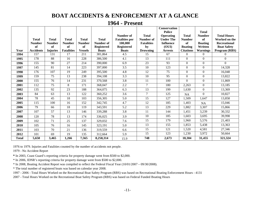#### **BOAT ACCIDENTS & ENFORCEMENT AT A GLANCE**

|              |                  |                 |                   |                |                   |                       |                   | <b>Conservation</b><br><b>Police</b> |                  | <b>Total</b>    |                     |
|--------------|------------------|-----------------|-------------------|----------------|-------------------|-----------------------|-------------------|--------------------------------------|------------------|-----------------|---------------------|
|              |                  |                 |                   |                |                   | Number of             | <b>Total</b>      | <b>Operating</b>                     | Total            | <b>Number</b>   | <b>Total Hours</b>  |
|              | <b>Total</b>     | <b>Total</b>    | <b>Total</b>      | <b>Total</b>   | <b>Total</b>      | <b>Fatalities</b> per | Number of         | <b>Under The</b>                     | <b>Number</b>    | of              | Worked on the       |
|              | <b>Number</b>    | <b>Number</b>   | <b>Number</b>     | <b>Number</b>  | Number of         | 100,000               | <b>Fatalities</b> | <b>Influence</b>                     | of               | <b>Boating</b>  | <b>Recreational</b> |
|              | of               | of              | of                | of             | <b>Registered</b> | <b>Registered</b>     | by                | (OUI)                                | <b>Boating</b>   | Written         | <b>Boat Safety</b>  |
| Year         | <b>Accidents</b> | <b>Injuries</b> | <b>Fatalities</b> | <b>Vessels</b> | <b>Boats</b>      | <b>Boats</b>          | <b>Drowning</b>   | <b>Arrests</b>                       | <b>Citations</b> | <b>Warnings</b> | Program (RBS)       |
| 1994         | 157              | 131             | 17                | 211            | 381,864           | 4.5                   | 15                | 67                                   | $\Omega$         | $\overline{0}$  | $\mathbf{0}$        |
| 1995         | 178              | 88              | 16                | 228            | 386,500           | 4.1                   | 13                | 111                                  | $\overline{0}$   | $\overline{0}$  | $\mathbf{0}$        |
| 1996         | 155              | 90              | 27                | 214            | 390,000           | 6.9                   | 23                | 93                                   | $\overline{0}$   | $\overline{0}$  | $\mathbf{0}$        |
| 1997         | 145              | 81              | 14                | 223            | 397,000           | 3.5                   | 10                | 123                                  | $\overline{0}$   | $\overline{0}$  | 14,328              |
| 1998         | 176              | 107             | 19                | 249            | 395,500           | 4.8                   | 12                | 75                                   | $\overline{0}$   | $\overline{0}$  | 16,048              |
| 1999         | 159              | 75              | 13                | 238            | 394,108           | 3.3                   | 10                | 95                                   | $\Omega$         | $\mathbf{0}$    | 13,822              |
| 2000         | 155              | 76              | 14                | 231            | 370,568           | 3.8                   | 11                | 100                                  | $\Omega$         | $\overline{0}$  | 11,869              |
| 2001         | 112              | 75              | 8                 | 171            | 368,047           | 2.2                   | $\overline{7}$    | 180                                  | 2,263            | $\overline{0}$  | 13,185              |
| 2002         | 135              | 92              | 23                | 188            | 364,075           | 6.3                   | 13                | 199                                  | 1,630            | $\overline{0}$  | 13,369              |
| 2003         | 84               | 63              | 13                | 122            | 360,252           | 3.6                   | $\tau$            | 125                                  | NA               | $\Omega$        | 10,827              |
| 2004         | 78               | 45              | 18                | 103            | 356,305           | 5.0                   | 15                | 127                                  | 1,509            | 1,647           | 13,858              |
| 2005         | 115              | 100             | 16                | 152            | 342,745           | 4.7                   | 12                | 185                                  | 1,403            | <b>NA</b>       | 15,046              |
| 2006         | 79               | 66              | 18                | 119            | 343,591           | 5.2                   | $\overline{13}$   | 229                                  | 1,882            | 3,307           | 15,866              |
| 2007         | 107              | 57              | 13                | 146            | 339,288           | 3.8                   | 11                | 144                                  | 1,451            | 3,239           | 30,332              |
| 2008         | 120              | 78              | 13                | 174            | 336,025           | 3.9                   | 10                | 185                                  | 1,603            | 3,695           | 39,998              |
| 2009         | 102              | 71              | 25                | 137            | 329,032           | 7.6                   | 15                | 179                                  | 1,960            | 5,576           | 21,403              |
| 2010         | 105              | 76              | 16                | 145            | 323,191           | 5.0                   | 13                | 155                                  | 1,853            | 5,438           | 13,363              |
| 2011         | 103              | 70              | 21                | 136            | 319,559           | 6.6                   | 15                | 121                                  | 1,520            | 4,581           | 27,346              |
| 2012         | 101              | 69              | 19                | 135            | 312,664           | 5.9                   | 15                | 123                                  | 1,230            | 3,972           | 50,664              |
| <b>Total</b> | 5,650            | 3,465           | 1,266             | 7,565          | 8,258,314         | 15.9                  | 748               | 2,673                                | 18,304           | 31,455          | 321,324             |

1976 to 1979. Injuries and Fatalities counted by the number of accidents not people.

1979 - No Accident Report

**\*** In 2003, Coast Guard's reporting criteria for property damage went from \$500 to \$2,000.

\* In 2006, IDNR's reporting criteria for property damage went from \$500 to \$2,000.

\* In 2008, Boating Accident Report was compiled to reflect the Federal Fiscal Year (10/01/2007 – 09/30/2008).

\* The total number of registered boats was based on calendar year 2008.

1997 - 2006 - Total Hours Worked on the Recreational Boat Safety Program (RBS) was based on Recreational Boating Enforcement Hours - 4131

2007 - Total Hours Worked on the Recreational Boat Safety Program (RBS) was based on Federal Funded Boating Hours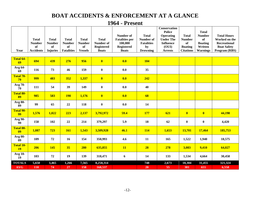#### **BOAT ACCIDENTS & ENFORCEMENT AT A GLANCE**

| Year                          | <b>Total</b><br><b>Number</b><br>of<br><b>Accidents</b> | <b>Total</b><br><b>Number</b><br>of<br><b>Injuries</b> | <b>Total</b><br><b>Number</b><br>of<br><b>Fatalities</b> | <b>Total</b><br><b>Number</b><br>of<br><b>Vessels</b> | <b>Total</b><br>Number of<br><b>Registered</b><br><b>Boats</b> | Number of<br><b>Fatalities per</b><br>100,000<br><b>Registered</b><br><b>Boats</b> | <b>Total</b><br>Number of<br><b>Fatalities</b><br>by<br><b>Drowning</b> | Conservation<br><b>Police</b><br>Operating<br><b>Under The</b><br><b>Influence</b><br>(OUI)<br><b>Arrests</b> | <b>Total</b><br><b>Number</b><br>of<br><b>Boating</b><br><b>Citations</b> | <b>Total</b><br><b>Number</b><br>of<br><b>Boating</b><br>Written<br><b>Warnings</b> | <b>Total Hours</b><br>Worked on the<br><b>Recreational</b><br><b>Boat Safety</b><br>Program (RBS) |
|-------------------------------|---------------------------------------------------------|--------------------------------------------------------|----------------------------------------------------------|-------------------------------------------------------|----------------------------------------------------------------|------------------------------------------------------------------------------------|-------------------------------------------------------------------------|---------------------------------------------------------------------------------------------------------------|---------------------------------------------------------------------------|-------------------------------------------------------------------------------------|---------------------------------------------------------------------------------------------------|
|                               |                                                         |                                                        |                                                          |                                                       |                                                                |                                                                                    |                                                                         |                                                                                                               |                                                                           |                                                                                     |                                                                                                   |
| <b>Total 64-</b><br>69        | 694                                                     | 439                                                    | 276                                                      | 956                                                   | $\boldsymbol{0}$                                               | 0.0                                                                                | <b>104</b>                                                              |                                                                                                               |                                                                           |                                                                                     |                                                                                                   |
| Avg 64-<br>69                 | 116                                                     | 73                                                     | 46                                                       | 159                                                   | $\bf{0}$                                                       | 0.0                                                                                | 35                                                                      |                                                                                                               |                                                                           |                                                                                     |                                                                                                   |
| Total 70-<br>79               | 999                                                     | 483                                                    | 352                                                      | 1,337                                                 | $\overline{\mathbf{0}}$                                        | 0.0                                                                                | 242                                                                     |                                                                                                               |                                                                           |                                                                                     |                                                                                                   |
| Avg 70-<br>79                 | 111                                                     | 54                                                     | 39                                                       | 149                                                   | $\boldsymbol{0}$                                               | 0.0                                                                                | 40                                                                      |                                                                                                               |                                                                           |                                                                                     |                                                                                                   |
| <b>Total 80-</b><br>89        | 985                                                     | 583                                                    | <b>198</b>                                               | 1,176                                                 | $\boldsymbol{0}$                                               | 0.0                                                                                | 68                                                                      |                                                                                                               |                                                                           |                                                                                     |                                                                                                   |
| Avg $80-$<br>89               | 99                                                      | 65                                                     | 22                                                       | 118                                                   | $\bf{0}$                                                       | 0.0                                                                                | 14                                                                      |                                                                                                               |                                                                           |                                                                                     |                                                                                                   |
| Total 90-<br>99               | 1,576                                                   | 1,022                                                  | 223                                                      | 2,137                                                 | 3,792,972                                                      | 59.4                                                                               | <b>177</b>                                                              | 621                                                                                                           | $\overline{\mathbf{0}}$                                                   | $\overline{\mathbf{0}}$                                                             | 44,198                                                                                            |
| Avg 90-<br>99                 | 158                                                     | 102                                                    | 22                                                       | 214                                                   | 379,297                                                        | 5.9                                                                                | 18                                                                      | 62                                                                                                            | $\boldsymbol{0}$                                                          | $\pmb{0}$                                                                           | 4,420                                                                                             |
| Total 00-<br>09               | 1,087                                                   | 723                                                    | <b>161</b>                                               | 1,543                                                 | 3,509,928                                                      | 46.1                                                                               | <b>114</b>                                                              | 1,653                                                                                                         | 13,701                                                                    | 17,464                                                                              | 185,753                                                                                           |
| Avg 00-<br>09                 | 109                                                     | 72                                                     | 16                                                       | 154                                                   | 350,993                                                        | 4.6                                                                                | 11                                                                      | 165                                                                                                           | 1,522                                                                     | 1,940                                                                               | 18,575                                                                                            |
| <b>Total 10-</b><br><b>19</b> | 206                                                     | 145                                                    | 35                                                       | 280                                                   | 635,855                                                        | <b>11</b>                                                                          | 28                                                                      | 278                                                                                                           | 3,083                                                                     | 9,410                                                                               | 64,027                                                                                            |
| Avg 10-<br>19                 | 103                                                     | 72                                                     | 19                                                       | 139                                                   | 318,471                                                        | $\boldsymbol{6}$                                                                   | 14                                                                      | 133                                                                                                           | 1,534                                                                     | 4,664                                                                               | 30,458                                                                                            |
| <b>TOTALS</b>                 | 5,650                                                   | 3,465                                                  | 1,266                                                    | 7,565                                                 | 8,258,314                                                      |                                                                                    | 748                                                                     | 2,673                                                                                                         | 18,304                                                                    | 31,455                                                                              | 321,324                                                                                           |
| <b>AVG</b>                    | 118                                                     | 74                                                     | 27                                                       | 158                                                   | 168,537                                                        |                                                                                    | 20                                                                      | 55                                                                                                            | 381                                                                       | 655                                                                                 | 6,558                                                                                             |

#### **1964 - Present**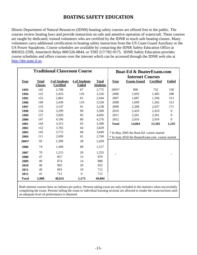#### **BOATING SAFETY EDUCATION**

Illinois Department of Natural Resources (IDNR) boating safety courses are offered free to the public. The courses review boating laws and provide instruction on safe and attentive operation of watercraft. These courses are taught by dedicated, trained volunteers who are certified by the IDNR to teach safe boating classes. Many volunteers carry additional certification in boating safety instruction from the US Coast Guard Auxiliary or the US Power Squadrons. Course schedules are available by contacting the IDNR Safety Education Office at 800/832-2599, Ameritech Relay 800/526-0844, or TDD 217/782-9175. IDNR Safety Education provides course schedules and offers courses over the internet which can be accessed through the IDNR web site at [http://dnr.state.il.us.](http://dnr.state.il.us/)

| <b>Traditional Classroom Course</b> |                |                  |                  |                 |              | <b>Boat-Ed &amp; BoaterExam.com</b>              |                  |                  |  |
|-------------------------------------|----------------|------------------|------------------|-----------------|--------------|--------------------------------------------------|------------------|------------------|--|
|                                     |                |                  |                  |                 |              | <b>Internet Courses</b>                          |                  |                  |  |
| Year                                | <b>Total</b>   | # of Students    | # of Students    | <b>Total</b>    | Year         | <b>Exams Issued</b>                              | <b>Certified</b> | <b>Failed</b>    |  |
|                                     | <b>Classes</b> | <b>Certified</b> | <b>Failed</b>    | <b>Students</b> |              |                                                  |                  |                  |  |
| 1993                                | 142            | 2,708            | 67               | 2,775           | 2005*        | 890                                              | 732              | 158              |  |
| 1994                                | 122            | 2,416            | 110              | 2,526           | 2006         | 1,693                                            | 1,405            | 288              |  |
| 1995                                | 125            | 2,863            | 81               | 2,944           | 2007         | 1,687                                            | 1,358            | 313              |  |
| 1996                                | 140            | 3,439            | 119              | 3,558           | 2008         | 1,699                                            | 1,362            | 313              |  |
| 1997                                | 133            | 3,147            | 91               | 3,238           | 2009         | 2,208                                            | 2,037            | 171              |  |
| 1998                                | 134            | 3,299            | 90               | 3,389           | 2010         | 2,410                                            | 2,410            | $\boldsymbol{0}$ |  |
| 1999                                | 137            | 3,920            | 85               | 4,005           | 2011         | 2,261                                            | 2,261            | $\theta$         |  |
| 2000                                | 147            | 4,196            | 80               | 4,276           | 2012         | 2,016                                            | 2,016            | $\overline{0}$   |  |
| 2001                                | 144            | 3,315            | 65               | 3,380           | <b>Total</b> | 14,864                                           | 13,581           | 1,243            |  |
| 2002                                | 152            | 3,765            | 64               | 3,829           |              |                                                  |                  |                  |  |
| 2003                                | 145            | 3,772            | 68               | 3,840           |              | * In May 2005 the Boat-Ed course started         |                  |                  |  |
| 2004                                | 111            | 2,699            | 61               | 2,760           |              | * In June 2010 the BoaterExam.com course started |                  |                  |  |
| 2005*                               | 95             | 2,390            | 38               | 2,428           |              |                                                  |                  |                  |  |
| 2006                                | 74             | 1,449            | 68               | 1,517           |              |                                                  |                  |                  |  |
| 2007                                | 70             | 1,215            | 20               | 1,235           |              |                                                  |                  |                  |  |
| 2008                                | 47             | 857              | 13               | 870             |              |                                                  |                  |                  |  |
| 2009                                | 49             | 874              | 14               | 888             |              |                                                  |                  |                  |  |
| 2010                                | 40             | 902              | 20               | 922             |              |                                                  |                  |                  |  |
| 2011                                | 40             | 693              | 19               | 712             |              |                                                  |                  |                  |  |
| 2012                                | 41             | 712              | $\boldsymbol{0}$ | 712             |              |                                                  |                  |                  |  |
| <b>Total</b>                        | 2,088          | 48,631           | 1,173            | 49,804          |              |                                                  |                  |                  |  |

Both internet courses have no failures per policy. Persons taking exam are only included in the statistics when successfully completing the exam. Persons failing the exam or individual learning sections are allowed to retake the exam/sections until an adequate level of performance is obtained.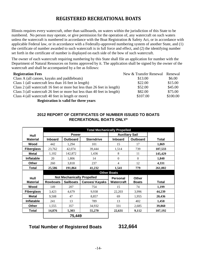#### **REGISTERED RECREATIONAL BOATS**

Illinois requires every watercraft, other than sailboards, on waters within the jurisdiction of this State to be numbered. No person may operate, or give permission for the operation of, any watercraft on such waters unless the watercraft is numbered in accordance with the Boat Registration & Safety Act, or in accordance with applicable Federal law, or in accordance with a Federally-approved numbering system of another State, and (1) the certificate of number awarded to such watercraft is in full force and effect, and (2) the identifying number set forth in the certificate of number is displayed on each side of the bow of such watercraft.

The owner of each watercraft requiring numbering by this State shall file an application for number with the Department of Natural Resources on forms approved by it. The application shall be signed by the owner of the watercraft and shall be accompanied by a fee as follows:

| <b>Registration Fees</b>                                                 | New & Transfer Renewal Renewal |          |
|--------------------------------------------------------------------------|--------------------------------|----------|
| Class A (all canoes, kayaks and paddleboats)                             | \$13.00                        | \$6.00   |
| Class 1 (all watercraft less than 16 feet in length)                     | \$22.00                        | \$15.00  |
| Class 2 (all watercraft 16 feet or more but less than 26 feet in length) | \$52.00                        | \$45.00  |
| Class 3 (all watercraft 26 feet or more but less than 40 feet in length) | \$82.00                        | \$75.00  |
| Class 4 (all watercraft 40 feet in length or more)                       | \$107.00                       | \$100.00 |
| <b>Degistration is valid for three vears</b>                             |                                |          |

**Registration is valid for three years**

#### **2012 REPORT OF CERTIFICATES OF NUMBER ISSUED TO BOATS RECREATIONAL BOATS ONLY\***

|                   |                 | <b>Total Mechanically Propelled</b> |                       |                       |                 |              |  |  |  |
|-------------------|-----------------|-------------------------------------|-----------------------|-----------------------|-----------------|--------------|--|--|--|
| Hull              |                 | <b>Power</b>                        |                       | <b>Auxiliary Sail</b> |                 |              |  |  |  |
| <b>Material</b>   | <b>Inboard</b>  | <b>Outboard</b>                     | <b>Sterndrive</b>     | <b>Inboard</b>        | <b>Outboard</b> | <b>Total</b> |  |  |  |
| Wood              | 442             | 1,294                               | 101                   | 15                    | 17              | 1,869        |  |  |  |
| <b>Fiberglass</b> | 23,762          | 42,074                              | 39,444                | 1,514                 | 739             | 107,533      |  |  |  |
| <b>Metal</b>      | 1,102           | 142,872                             | 1,436                 | 8                     | 11              | 145,429      |  |  |  |
| <b>Inflatable</b> | 20              | 1,806                               | 14                    | $\mathbf{0}$          | $\theta$        | 1,840        |  |  |  |
| Other             | 260             | 3,818                               | 237                   | 4                     | 12              | 4,331        |  |  |  |
| Total             | 25,586          | 191,864                             | 41,232                | 1,541                 | 779             | 261,002      |  |  |  |
|                   |                 |                                     |                       | <b>Other Boats</b>    |                 |              |  |  |  |
| Hull              |                 | <b>Not Mechanically Propelled</b>   |                       | <b>Personal</b>       | <b>Other</b>    |              |  |  |  |
| <b>Material</b>   | <b>Rowboats</b> | <b>Sailboats</b>                    | <b>Canoes/ Kayaks</b> | <b>Watercraft</b>     | <b>Boats</b>    | <b>Total</b> |  |  |  |
| Wood              | 149             | 207                                 | 754                   | 15                    | 74              | 1,199        |  |  |  |
| <b>Fiberglass</b> | 3,423           | 4,679                               | 9,938                 | 22,203                | 3,996           | 44,239       |  |  |  |
| <b>Metal</b>      | 9,508           | 47                                  | 8,857                 | 69                    | 1,955           | 20,436       |  |  |  |
| <b>Inflatable</b> | 241             | 13                                  | 789                   | 13                    | 402             | 1,458        |  |  |  |
| <b>Other</b>      | 1,555           | 357                                 | 34,932                | 331                   | 2,685           | 39,860       |  |  |  |
| <b>Total</b>      | 14,876          | 5,303                               | 55,270                | 22,631                | 9,112           | 107,192      |  |  |  |
|                   |                 | 75,449                              |                       |                       |                 |              |  |  |  |

#### **Total Number of Registered Boats 312,664**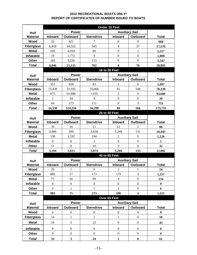#### **2012 RECREATIONAL BOATS ONLY\* REPORT OF CERTIFICATES OF NUMBER ISSUED TO BOATS**

|                   | <b>Under 16 Feet</b> |                  |                   |                       |                         |              |  |
|-------------------|----------------------|------------------|-------------------|-----------------------|-------------------------|--------------|--|
| Hull              |                      | <b>Power</b>     |                   | <b>Auxiliary Sail</b> |                         |              |  |
| <b>Material</b>   | <b>Inboard</b>       | Outboard         | <b>Sterndrive</b> | Inboard               | Outboard                | <b>Total</b> |  |
| Wood              | 32                   | 621              | 7                 | $\boldsymbol{0}$      | 8                       | 668          |  |
| <b>Fiberglass</b> | 6,418                | 10,552           | 545               | $\overline{4}$        | 57                      | 17,576       |  |
| <b>Metal</b>      | 195                  | 4,934            | 86                | $\overline{0}$        | $\overline{2}$          | 5,217        |  |
| Inflatable        | 19                   | 1,772            | 9                 | $\overline{0}$        | $\boldsymbol{0}$        | 1,800        |  |
| Other             | 182                  | 3,236            | 115               | $\boldsymbol{0}$      | 9                       | 3,542        |  |
| <b>Total</b>      | 6,846                | 21,115           | 762               | 4                     | 76                      | 28,803       |  |
|                   |                      |                  |                   | 16 to 26 Feet         |                         |              |  |
| Hull              |                      | <b>Power</b>     |                   | <b>Auxiliary Sail</b> |                         |              |  |
| <b>Material</b>   | Inboard              | Outboard         | <b>Sterndrive</b> | Inboard               | Outboard                | <b>Total</b> |  |
| Wood              | 351                  | 656              | 83                | 1                     | 6                       | 1,097        |  |
| <b>Fiberglass</b> | 13,439               | 31,105           | 33,066            | 81                    | 548                     | 78,239       |  |
| <b>Metal</b>      | 675                  | 91,888           | 1,035             | $\overline{c}$        | 9                       | 93,609       |  |
| Inflatable        | $\mathbf{1}$         | 34               | $\overline{4}$    | $\overline{0}$        | $\mathbf{0}$            | 39           |  |
| <b>Other</b>      | 64                   | 573              | 111               | $\boldsymbol{0}$      | 3                       | 751          |  |
| <b>Total</b>      | 14,530               | 124,256          | 34,299            | 84                    | 566                     | 173,735      |  |
|                   |                      |                  |                   | <b>26 to 40 Feet</b>  |                         |              |  |
| Hull              |                      | <b>Power</b>     |                   | <b>Auxiliary Sail</b> |                         |              |  |
| <b>Material</b>   | Inboard              | <b>Outboard</b>  | <b>Sterndrive</b> | Inboard               | Outboard                | <b>Total</b> |  |
| Wood              | 39                   | 16               | 11                | 12                    | 2                       | 80           |  |
| <b>Fiberglass</b> | 3,006                | 399              | 5,658             | 1,249                 | 131                     | 10,443       |  |
| <b>Metal</b>      | 138                  | 1,192            | 194               | $\overline{2}$        | $\mathbf{0}$            | 1,526        |  |
| Inflatable        | $\overline{0}$       | $\boldsymbol{0}$ | $\mathbf{1}$      | $\overline{0}$        | $\mathbf{0}$            | $\mathbf{1}$ |  |
| Other             | 11                   | 8                | 10                | $\overline{3}$        | $\overline{0}$          | 32           |  |
| <b>Total</b>      | 3,194                | 1,615            | 5,874             | 1,266                 | 133                     | 12,082       |  |
|                   |                      |                  |                   | <b>40 to 65 Feet</b>  |                         |              |  |
| Hull              |                      | Power            |                   | <b>Auxiliary Sail</b> |                         |              |  |
| <b>Material</b>   | <b>Inboard</b>       | Outboard         | <b>Sterndrive</b> | Inboard               | Outboard                | <b>Total</b> |  |
| Wood              | 20                   | 1                | $\boldsymbol{0}$  | 2                     | 1                       | 24           |  |
| <b>Fiberglass</b> | 885                  | 17               | 173               | 179                   | 3                       | 1,257        |  |
| <b>Metal</b>      | 75                   | 56               | 99                | $\overline{4}$        | $\boldsymbol{0}$        | 234          |  |
| Inflatable        | $\overline{0}$       | $\boldsymbol{0}$ | $\mathbf{0}$      | $\overline{0}$        | $\mathbf{0}$            | $\bf{0}$     |  |
| Other             | 3                    | $\mathbf{1}$     | $\mathbf{1}$      | $\mathbf{1}$          | $\boldsymbol{0}$        | 6            |  |
| <b>Total</b>      | 983                  | 75               | 273               | 186                   | $\overline{\mathbf{4}}$ | 1,521        |  |
|                   |                      |                  |                   | Over 65 Feet          |                         |              |  |
| Hull              |                      | <b>Power</b>     |                   | <b>Auxiliary Sail</b> |                         |              |  |
| <b>Material</b>   | Inboard              | Outboard         | <b>Sterndrive</b> | <b>Inboard</b>        | <b>Outboard</b>         | <b>Total</b> |  |
| Wood              | $\overline{0}$       | $\boldsymbol{0}$ | $\boldsymbol{0}$  | $\boldsymbol{0}$      | $\mathbf{0}$            | $\mathbf{0}$ |  |
| <b>Fiberglass</b> | 14                   | $\mathbf{1}$     | $\overline{2}$    | $\mathbf{1}$          | $\boldsymbol{0}$        | 18           |  |
| <b>Metal</b>      | 19                   | $\sqrt{2}$       | 22                | $\boldsymbol{0}$      | $\boldsymbol{0}$        | 43           |  |
| Inflatable        | $\boldsymbol{0}$     | $\boldsymbol{0}$ | $\boldsymbol{0}$  | $\boldsymbol{0}$      | $\boldsymbol{0}$        | $\bf{0}$     |  |
| Other             | $\boldsymbol{0}$     | $\boldsymbol{0}$ | $\overline{0}$    | $\overline{0}$        | $\boldsymbol{0}$        | $\bf{0}$     |  |
| <b>Total</b>      | 33                   | $\mathbf{3}$     | 24                | $\mathbf{1}$          | $\pmb{0}$               | 61           |  |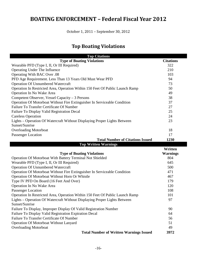#### **BOATING ENFORCEMENT – Federal Fiscal Year 2012**

October 1, 2011 – September 30, 2012

#### **Top Boating Violations**

| <b>Top Citations</b>                                                          |                  |
|-------------------------------------------------------------------------------|------------------|
| <b>Type of Boating Violations</b>                                             | <b>Citations</b> |
| Wearable PFD (Type I, II, Or III Required)                                    | 322              |
| Operating Under The Influence                                                 | 210              |
| Operating With BAC Over .08                                                   | 103              |
| PFD Age Requirement. Less Than 13 Years Old Must Wear PFD                     | 94               |
| <b>Operation Of Unnumbered Watercraft</b>                                     | 73               |
| Operation In Restricted Area, Operation Within 150 Feet Of Public Launch Ramp | 50               |
| Operation In No Wake Area                                                     | 49               |
| Competent Observer, Vessel Capacity – 3 Persons                               | 38               |
| Operation Of Motorboat Without Fire Extinguisher In Serviceable Condition     | 37               |
| Failure To Transfer Certificate Of Number                                     | 27               |
| Failure To Display Valid Registration Decal                                   | 25               |
| <b>Careless Operation</b>                                                     | 24               |
| Lights – Operation Of Watercraft Without Displaying Proper Lights Between     | 23               |
| Sunset/Sunrise                                                                |                  |
| <b>Overloading Motorboat</b>                                                  | 18               |
| Passenger Location                                                            | 17               |
| <b>Total Number of Citations Issued</b>                                       | 1230             |
| <b>Top Written Warnings</b>                                                   |                  |
|                                                                               |                  |
|                                                                               | Written          |
| <b>Type of Boating Violations</b>                                             | <b>Warnings</b>  |
| Operation Of Motorboat With Battery Terminal Not Shielded                     | 804              |
| Wearable PFD (Type I, II, Or III Required)                                    | 645              |
| <b>Operation Of Unnumbered Watercraft</b>                                     | 500              |
| Operation Of Motorboat Without Fire Extinguisher In Serviceable Condition     | 471              |
| Operation Of Motorboat Without Horn Or Whistle                                | 467              |
| Type IV PFD On Board (16 Feet And Over)                                       | 179              |
| Operation In No Wake Area                                                     | 120              |
| Passenger Location                                                            | 108              |
| Operation In Restricted Area, Operation Within 150 Feet Of Public Launch Ramp | 101              |
| Lights - Operation Of Watercraft Without Displaying Proper Lights Between     | 97               |
| Sunset/Sunrise                                                                |                  |
| Failure To Display, Improper Display Of Valid Registration Number             | 90               |
| Failure To Display Valid Registration Expiration Decal                        | 64               |
| Failure To Transfer Certificate Of Number                                     | 56               |
| <b>Operation Of Motorboat Without Lanyard</b>                                 | 51               |
| <b>Overloading Motorboat</b>                                                  | 49               |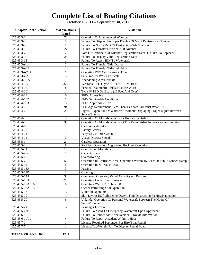## **Complete List of Boating Citations**

**October 1, 2011 – September 30, 2012**

| <b>Chapter / Act / Section</b> | # of Violations | <b>Violation</b>                                                              |
|--------------------------------|-----------------|-------------------------------------------------------------------------------|
|                                | <b>Issued</b>   |                                                                               |
| 625 45 3-1                     | 73              | <b>Operation Of Unnumbered Watercraft</b>                                     |
| 625 45 3-3                     | 5               | Failure To Display, Improper Display Of Valid Registration Number             |
| 625 45 3-4                     | 1               | Failure To Notify Dept Of Destruction/Sale/Transfer                           |
| 625 45 3-5                     | 27              | Failure To Transfer Certificate Of Number                                     |
| 625 45 3-7                     | $\overline{2}$  | Loss Of Certificate Of Number/Registration Decal (Failure To Replace)         |
| 625 45 3-9                     | 25              | Failure To Display Valid Registration Decal                                   |
| 625 45 3-13                    | 1               | Failure To Attach HIN To Watercraft                                           |
| 625 45 3A-14                   | 3               | Failure To Transfer Title-Dealer                                              |
| 625 45 3A-17                   | $\overline{2}$  | Failure To Transfer Title-Individual                                          |
| 625 45 3A-20A                  | 1               | Operating W/O Certificate Of Title                                            |
| 625 45 3A-20B                  | 3               | Sell/Transfer W/O Certificate                                                 |
| 625 45 3C-1A                   | 1               | Abandoning A Watercraft                                                       |
| 625 45 4-1A                    | 322             | Wearable PFD (Type I, II, Or III Required)                                    |
| 625 45 4-1B                    | 8               | Personal Watercraft - PFD Must Be Worn                                        |
| 625 45 4-1C                    | 14              | Type IV PFD On Board (16 Feet And Over)                                       |
| 625 45 4-1F1                   | 6               | PFDs Accessible                                                               |
| 625 45 4-1F2                   | 1               | PFDs Serviceable Condition                                                    |
| 625 45 4-1F3                   | 5               | PFDs Appropriate Size                                                         |
| 625 45 4-11                    | 94              | PFD Age Requirement. Less Than 13 Years Old Must Wear PFD                     |
| 625 45 4-2                     | 23              | Lights – Operation Of Watercraft Without Displaying Proper Lights Between     |
|                                |                 | Sunset/Sunrise                                                                |
| 625 45 4-4                     | 3               | Operation Of Motorboat Without Horn Or Whistle                                |
| 625 45 4-5                     | $\overline{37}$ | Operation Of Motorboat Without Fire Extinguisher In Serviceable Condition     |
| $625454-6$                     | $\mathbf{1}$    | Carburetor Arrestor                                                           |
| $625454-10$                    | 16              | <b>Battery Covers</b>                                                         |
| 625 45 4-11                    | 3               | Lanyard Cut-Off Switch                                                        |
| 625 45 4-12                    | $\overline{2}$  | <b>Visual Distress Signals</b>                                                |
| 625 45 5-1                     | 24              | <b>Careless Operation</b>                                                     |
| 625 45 5-2                     | 8               | Reckless Operation/Aggravated Reckless Operation                              |
| 625 45 5-4A                    | $\overline{18}$ | <b>Overloading Motorboat</b>                                                  |
| 625 45 5-4B                    | $\mathbf{1}$    | Capacity Plate                                                                |
| 625 45 5-6                     | $\mathbf{1}$    | Overpowering                                                                  |
| 625 45 5-7                     | $\overline{50}$ | Operation In Restricted Area, Operation Within 150 Feet Of Public Launch Ramp |
| $625455-12$                    | 49              | Operation In No Wake Area                                                     |
| 625 45 5-13A                   | $\overline{3}$  | Passing                                                                       |
| 625 45 5-13B                   | $\,1$           | Crossing                                                                      |
| 625 45 5-14A                   | $\overline{38}$ | Competent Observer, Vessel Capacity - 3 Persons                               |
| 625 45 5-16A 1                 | 210             | Operating Under The Influence                                                 |
| 625 45 5-16A 1 A               | 103             | Operating With BAC Over .08                                                   |
| 625 45 5-16A 1 E               | 1               | <b>Owner Permitting OUI Operation</b>                                         |
| 625 45 5-18                    | $\overline{12}$ | <b>Youthful Operators</b>                                                     |
| 625 45 5-19                    | $\mathbf{1}$    | Skin Diving 150ft Shoreline/Diver's Flag/Obstructing Fishing/Navigation       |
| 625 45 5-20                    | 6               | Unlawful Operation Of Personal Watercraft Between The Hours Of                |
|                                |                 | Sunset/Sunrise                                                                |
| 625 45 5-21                    | 17              | Passenger Location                                                            |
| 625 45 5-22B                   | 1               | Failure To Yield To Emergency Watercraft Upon Approach                        |
| 625 45 6-1                     | 1               | Failure To Render Aid After Accident/Provide Information                      |
| 625 45 6-1 A 1                 | 4               | Failure To Report Accident Within 1 Hour                                      |
| 625 45 7-1                     | 1               | License Required-Passenger For Hire/Boat Rental                               |
| 625 45 7-7                     | 1               | License/Tag/Weight Fail To Display/Rental Boat                                |
|                                |                 |                                                                               |
| <b>TOTAL VIOLATIONS</b>        | 1230            |                                                                               |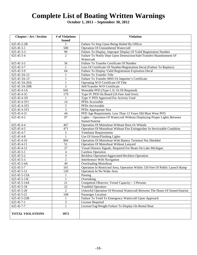### **Complete List of Boating Written Warnings**

**October 1, 2011 – September 30, 2012**

| <b>Chapter / Act / Section</b> | # of Violations         | <b>Violation</b>                                                              |
|--------------------------------|-------------------------|-------------------------------------------------------------------------------|
|                                | <b>Issued</b>           |                                                                               |
| 625 45 2-2B                    | 1                       | Failure To Stop Upon Being Hailed By Officer                                  |
| 625 45 3-1                     | 500                     | <b>Operation Of Unnumbered Watercraft</b>                                     |
| 625 45 3-3                     | 90                      | Failure To Display, Improper Display Of Valid Registration Number             |
| 625 45 3-4                     | $\overline{2}$          | Failure To Notify Dept Upon Destruction/Sale/Transfer/Abandonment Of          |
|                                |                         | Watercraft                                                                    |
| 625 45 3-5                     | 56                      | Failure To Transfer Certificate Of Number                                     |
| 625 45 3-7                     | 1                       | Loss Of Certificate Of Number/Registration Decal (Failure To Replace)         |
| 625 45 3-9                     | 64                      | Failure To Display Valid Registration Expiration Decal                        |
| 625 45 3A-12                   | 1                       | Failure To Transfer Title                                                     |
| 625 45 3A-13                   | 1                       | Failure To Transfer MSO Or Importer's Certificate                             |
| 625 45 3A-20A                  | $\mathbf{1}$            | Operating W/O Certificate Of Title                                            |
| 625 45 3A-20B                  | $\overline{2}$          | Sell/Transfer W/O Certificate                                                 |
| 625 45 4-1A                    | 645                     | Wearable PFD (Type I, II, Or III Required)                                    |
| 625 45 4-1C                    | 179                     | Type IV PFD On Board (16 Feet And Over)                                       |
| 625 45 4-1D                    | 1                       | Type V PFD Approved For Activity Used                                         |
| 625 45 4-1F1                   | 14                      | PFDs Accessible                                                               |
| 625 45 4-1F2                   | 5                       | PFDs Serviceable                                                              |
| 625 45 4-1F3                   | 3                       | PFDs Appropriate Size                                                         |
| 625 45 4-1I                    | 44                      | PFD Age Requirement. Less Than 13 Years Old Must Wear PFD                     |
| 625 45 4-2                     | 97                      | Lights - Operation Of Watercraft Without Displaying Proper Lights Between     |
|                                |                         | Sunset/Sunrise                                                                |
| 625 45 4-4                     | 467                     | Operation Of Motorboat Without Horn Or Whistle                                |
| 625 45 4-5                     | 471                     | Operation Of Motorboat Without Fire Extinguisher In Serviceable Condition     |
| 625 45 4-7                     | 5                       | <b>Ventilator Requirements</b>                                                |
| 625 45 4-8                     | $\mathbf{1}$            | Use Of Sirens/Flashing Lights                                                 |
| 625 45 4-10                    | 804                     | Operation Of Motorboat With Battery Terminal Not Shielded                     |
| 625 45 4-11                    | 51                      | Operation Of Motorboat Without Lanyard                                        |
| 625 45 4-12                    | $\overline{27}$         | Visual Distress Signals. Required For Boats On Lake Michigan                  |
| 625 45 5-1                     | $\overline{\mathbf{4}}$ | <b>Careless Operation</b>                                                     |
| 625 45 5-2                     | 3                       | Reckless Operation/Aggravated Reckless Operation                              |
| 625 45 5-3                     | $\overline{2}$          | Interference With Navigation                                                  |
| 625 45 5-4A                    | 49                      | <b>Overloading Motorboat</b>                                                  |
| 625 45 5-7                     | 101                     | Operation In Restricted Area, Operation Within 150 Feet Of Public Launch Ramp |
| $625455-12$                    | 120                     | Operation In No Wake Area                                                     |
| 625 45 5-13A                   | 1                       | Passing                                                                       |
| 625 45 5-13C                   | $\,1$                   | Overtaking                                                                    |
| 625 45 5-14A                   | 21                      | Competent Observer, Vessel Capacity - 3 Persons                               |
| $625455-18$                    | 22                      | Youthful Operators                                                            |
| 625 45 5-20                    | $\overline{2}$          | Unlawful Operation Of Personal Watercraft Between The Hours Of Sunset/Sunrise |
| 625 45 5-21                    | 108                     | Passenger Location                                                            |
| 625 45 5-22B                   |                         | Failure To Yield To Emergency Watercraft Upon Approach                        |
| 625 45 7-1                     | $\overline{3}$          | License Required                                                              |
| 625 45 7-7                     | $\mathbf{1}$            | License/Tag/Weight Failure To Display On Rental Boat                          |
| <b>TOTAL VIOLATIONS</b>        | 3972                    |                                                                               |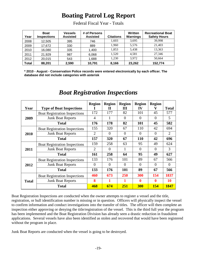### **Boating Patrol Log Report**

| Year         | <b>Boat</b><br><b>Inspections</b> | <b>Vessels</b><br><b>Assisted</b> | # of Persons<br><b>Assisted</b> | <b>Citations</b> | Written<br><b>Warnings</b> | <b>Recreational Boat</b><br><b>Safety Hours</b> |
|--------------|-----------------------------------|-----------------------------------|---------------------------------|------------------|----------------------------|-------------------------------------------------|
| 2008         | 12,505                            | 395                               | 746                             | 1.603            | 3.695                      | 39.998                                          |
| 2009         | 17,672                            | 330                               | 889                             | 1.960            | 5.576                      | 21.403                                          |
| 2010         | 16,080                            | 335                               | 1,400                           | 1.853            | 5.438                      | 13.363                                          |
| 2011         | 21,929                            | 987                               | 6,068                           | 1,520            | 4.581                      | 27,346                                          |
| 2012         | 20,015                            | 543                               | 1,688                           | 1.230            | 3.972                      | 50.664                                          |
| <b>Total</b> | 88,201                            | 2,590                             | 10,791                          | 8,166            | 23,262                     | 152,774                                         |

Federal Fiscal Year - Totals

**\* 2010 - August - Conservation Police records were entered electronically by each officer. The database did not include categories with asterisk** 

| Year         | <b>Type of Boat Inspections</b>      | <b>Region</b>  | <b>Region</b><br>Н | <b>Region</b><br>Ш | <b>Region</b><br>${\bf IV}$ | <b>Region</b><br>v | <b>Total</b>   |
|--------------|--------------------------------------|----------------|--------------------|--------------------|-----------------------------|--------------------|----------------|
|              | <b>Boat Registration Inspections</b> | 172            | 177                | 82                 | 101                         | 45                 | 577            |
| 2009         | <b>Junk Boat Reports</b>             | 4              |                    | $\Omega$           | $\Omega$                    | $\Omega$           | 5              |
|              | <b>Total</b>                         | 176            | 178                | 82                 | 101                         | 45                 | 582            |
|              | <b>Boat Registration Inspections</b> | 155            | 320                | 67                 | 110                         | 42                 | 694            |
| 2010         | <b>Junk Boat Reports</b>             | $\overline{2}$ | $\Omega$           | $\theta$           | $\Omega$                    | $\Omega$           | $\overline{2}$ |
|              | <b>Total</b>                         | 157            | 320                | 67                 | <b>110</b>                  | 42                 | 696            |
|              | <b>Boat Registration Inspections</b> | 159            | 258                | 63                 | 95                          | 49                 | 624            |
| 2011         | <b>Junk Boat Reports</b>             | $\overline{2}$ | $\Omega$           | 1                  | $\Omega$                    | $\Omega$           | 3              |
|              | <b>Total</b>                         | 161            | 258                | 64                 | 95                          | 49                 | 627            |
|              | <b>Boat Registration Inspections</b> | 133            | 176                | 101                | 89                          | 67                 | 566            |
| 2012         | <b>Junk Boat Reports</b>             | $\Omega$       | $\Omega$           | $\Omega$           | $\Omega$                    | $\Omega$           | $\Omega$       |
|              | <b>Total</b>                         | 133            | 176                | 101                | 89                          | 67                 | 566            |
|              | <b>Boat Registration Inspections</b> | 460            | 673                | 250                | 300                         | 154                | 1837           |
| <b>Total</b> | <b>Junk Boat Reports</b>             | 8              | 1                  |                    | $\boldsymbol{0}$            | $\mathbf 0$        | <b>10</b>      |
|              | <b>Total</b>                         | 468            | 674                | 251                | <b>300</b>                  | <b>154</b>         | 1847           |

#### *Boat Registration Inspections*

Boat Registration Inspections are conducted when the owner attempts to register a vessel and the title, registration, or hull identification number is missing or in question. Officers will physically inspect the vessel to confirm information and conduct investigations into the transfer of titles. The officer will then complete an inspection either approving or denying the title/registration of the vessel. This is the third full year the program has been implemented and the Boat Registration Division has already seen a drastic reduction in fraudulent applications. Several vessels have also been identified as stolen and recovered that would have been registered without the program in place.

Junk Boat Reports are conducted when the vessel is going to be destroyed.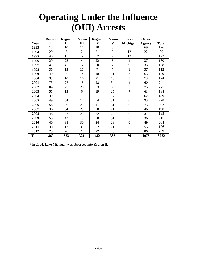# **Operating Under the Influence (OUI) Arrests**

|              | <b>Region</b> | <b>Region</b>  | <b>Region</b>  | <b>Region</b>  | <b>Region</b>  | Lake             | Other         |              |
|--------------|---------------|----------------|----------------|----------------|----------------|------------------|---------------|--------------|
| Year         | I             | $\mathbf{I}$   | Ш              | IV             | V              | Michigan         | <b>Agency</b> | <b>Total</b> |
| 1993         | 18            | 10             | 11             | 10             | 3              | 5                | 69            | 126          |
| 1994         | 20            | $\overline{7}$ | $\overline{2}$ | 21             | $\overline{5}$ | 12               | 22            | 89           |
| 1995         | 48            | 11             | 5              | 27             | $\overline{7}$ | 13               | 11            | 122          |
| 1996         | 29            | 28             | $\overline{4}$ | 22             | 6              | $\overline{4}$   | 37            | 130          |
| 1997         | 41            | 41             | 5              | 20             | $\overline{7}$ | 9                | 35            | 158          |
| 1998         | 36            | 13             | 11             | $\overline{7}$ | $\overline{7}$ | $\mathbf{1}$     | 37            | 112          |
| 1999         | 49            | 6              | 9              | 18             | 11             | 3                | 63            | 159          |
| 2000         | 33            | 10             | 16             | 21             | 18             | 3                | 73            | 174          |
| 2001         | 73            | 27             | 15             | 28             | 34             | $\overline{4}$   | 60            | 241          |
| 2002         | 84            | 27             | 25             | 23             | 36             | 5                | 75            | 275          |
| 2003         | 55            | 13             | 6              | 19             | 25             | $\overline{7}$   | 63            | 188          |
| 2004         | 39            | 31             | 19             | 21             | 17             | $\boldsymbol{0}$ | 62            | 189          |
| 2005         | 49            | 34             | 17             | 54             | 31             | $\mathbf{0}$     | 93            | 278          |
| 2006         | 58            | 76             | 23             | 41             | 31             | $\boldsymbol{0}$ | 73            | 302          |
| 2007         | 36            | 34             | 23             | 30             | 21             | $\boldsymbol{0}$ | 46            | 190          |
| 2008         | 48            | 32             | 29             | 22             | 23             | $\boldsymbol{0}$ | 31            | 185          |
| 2009         | 58            | 42             | 18             | 30             | 31             | $\boldsymbol{0}$ | 36            | 215          |
| 2010         | 40            | 38             | 30             | 24             | 23             | $\boldsymbol{0}$ | 49            | 204          |
| 2011         | 30            | 17             | 31             | 22             | 21             | $\boldsymbol{0}$ | 55            | 176          |
| 2012         | 25            | 26             | 22             | 22             | 28             | $\boldsymbol{0}$ | 86            | 209          |
| <b>Total</b> | 869           | 523            | 321            | 482            | 385            | 66               | 1076          | 3722         |

\* In 2004, Lake Michigan was absorbed into Region II.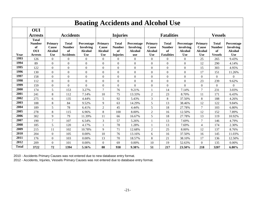|              | <b>Boating Accidents and Alcohol Use</b>                     |                                                  |                                                         |                                                         |                                                         |                                                        |                                                                |                                                  |                                                          |                                                         |                                                  |                                                       |                                                                |
|--------------|--------------------------------------------------------------|--------------------------------------------------|---------------------------------------------------------|---------------------------------------------------------|---------------------------------------------------------|--------------------------------------------------------|----------------------------------------------------------------|--------------------------------------------------|----------------------------------------------------------|---------------------------------------------------------|--------------------------------------------------|-------------------------------------------------------|----------------------------------------------------------------|
|              | <b>OUI</b><br><b>Arrests</b>                                 |                                                  | <b>Accidents</b>                                        |                                                         |                                                         | <b>Injuries</b>                                        |                                                                |                                                  | <b>Fatalities</b>                                        |                                                         |                                                  | <b>Vessels</b>                                        |                                                                |
| Year         | <b>Total</b><br><b>Number</b><br>of<br>OUI<br><b>Arrests</b> | Primary<br>Cause<br><b>Alcohol</b><br><b>Use</b> | <b>Total</b><br><b>Number</b><br>of<br><b>Accidents</b> | Percentage<br>Involving<br><b>Alcohol</b><br><b>Use</b> | <b>Primary</b><br>Cause<br><b>Alcohol</b><br><b>Use</b> | <b>Total</b><br><b>Number</b><br>of<br><b>Injuries</b> | Percentage<br><b>Involving</b><br><b>Alcohol</b><br><b>use</b> | Primary<br>Cause<br><b>Alcohol</b><br><b>Use</b> | <b>Total</b><br><b>Number</b><br>of<br><b>Fatalities</b> | Percentage<br>involving<br><b>Alcohol</b><br><b>Use</b> | Primary<br>Cause<br><b>Alcohol</b><br><b>Use</b> | <b>Total</b><br><b>Number</b><br>of<br><b>Vessels</b> | Percentage<br><b>Involving</b><br><b>Alcohol</b><br><b>Use</b> |
| 1993         | 126                                                          | $\Omega$                                         | $\theta$                                                | $\theta$                                                | $\theta$                                                | $\theta$                                               | $\Omega$                                                       | $\Omega$                                         | $\overline{0}$                                           | $\Omega$                                                | 25                                               | 265                                                   | 9.43%                                                          |
| 1994         | 89                                                           | $\overline{0}$                                   | $\boldsymbol{0}$                                        | $\boldsymbol{0}$                                        | $\mathbf{0}$                                            | $\boldsymbol{0}$                                       | $\mathbf{0}$                                                   | $\Omega$                                         | $\overline{0}$                                           | $\overline{0}$                                          | 12                                               | 290                                                   | 4.14%                                                          |
| 1995         | 122                                                          | $\overline{0}$                                   | $\mathbf{0}$                                            | $\Omega$                                                | $\overline{0}$                                          | $\mathbf{0}$                                           | $\overline{0}$                                                 | $\Omega$                                         | $\overline{0}$                                           | $\Omega$                                                | 15                                               | 303                                                   | 4.95%                                                          |
| 1996         | 130                                                          | $\overline{0}$                                   | $\boldsymbol{0}$                                        | $\boldsymbol{0}$                                        | $\overline{0}$                                          | $\boldsymbol{0}$                                       | $\boldsymbol{0}$                                               | $\Omega$                                         | $\boldsymbol{0}$                                         | $\boldsymbol{0}$                                        | 17                                               | 151                                                   | 11.26%                                                         |
| 1997         | 158                                                          | $\overline{0}$                                   | $\overline{0}$                                          | $\overline{0}$                                          | $\overline{0}$                                          | $\mathbf{0}$                                           | $\overline{0}$                                                 | $\Omega$                                         | $\overline{0}$                                           | $\Omega$                                                | $\overline{0}$                                   | $\Omega$                                              | $\Omega$                                                       |
| 1998         | 112                                                          | $\overline{0}$                                   | $\boldsymbol{0}$                                        | $\boldsymbol{0}$                                        | $\mathbf{0}$                                            | $\boldsymbol{0}$                                       | $\mathbf{0}$                                                   | $\boldsymbol{0}$                                 | $\overline{0}$                                           | $\boldsymbol{0}$                                        | 23                                               | 239                                                   | 9.62%                                                          |
| 1999         | 159                                                          | $\overline{0}$                                   | $\overline{0}$                                          | $\overline{0}$                                          | $\overline{0}$                                          | $\overline{0}$                                         | $\overline{0}$                                                 | $\theta$                                         | $\overline{0}$                                           | $\Omega$                                                | $\overline{0}$                                   | $\Omega$                                              | $\theta$                                                       |
| 2000         | 174                                                          | 5                                                | 153                                                     | 3.27%                                                   | $\overline{7}$                                          | 76                                                     | 9.21%                                                          |                                                  | 14                                                       | 7.14%                                                   | $\overline{7}$                                   | 231                                                   | 3.03%                                                          |
| 2001         | 241                                                          | 8                                                | 112                                                     | 7.14%                                                   | 10                                                      | 75                                                     | 13.33%                                                         | $\overline{2}$                                   | 23                                                       | 8.70%                                                   | 11                                               | 171                                                   | 6.43%                                                          |
| 2002         | 275                                                          | 6                                                | 135                                                     | 4.44%                                                   | 5                                                       | 92                                                     | 5.43%                                                          | 3                                                | 8                                                        | 37.50%                                                  | $\,8\,$                                          | 188                                                   | 4.26%                                                          |
| 2003         | 188                                                          | 8                                                | 84                                                      | 9.52%                                                   | 9                                                       | 63                                                     | 14.29%                                                         | 5                                                | 13                                                       | 38.46%                                                  | 12                                               | 122                                                   | 9.84%                                                          |
| 2004         | 189                                                          | 5                                                | 78                                                      | 6.41%                                                   | $\overline{2}$                                          | 45                                                     | 4.44%                                                          | 5                                                | 18                                                       | 27.78%                                                  | $\overline{7}$                                   | 103                                                   | 6.80%                                                          |
| 2005         | 278                                                          | 8                                                | 115                                                     | 6.96%                                                   | 8                                                       | 100                                                    | 8.00%                                                          | $\overline{2}$                                   | 16                                                       | 12.50%                                                  | 12                                               | 152                                                   | 7.89%                                                          |
| 2006         | 302                                                          | 9                                                | 79                                                      | 11.39%                                                  | 11                                                      | 66                                                     | 16.67%                                                         | 5                                                | 18                                                       | 27.78%                                                  | 13                                               | 119                                                   | 10.92%                                                         |
| 2007         | 190                                                          | $\overline{7}$                                   | 107                                                     | 6.54%                                                   | 3                                                       | 57                                                     | 5.26%                                                          |                                                  | 13                                                       | 7.69%                                                   | $\overline{7}$                                   | 146                                                   | 4.79%                                                          |
| 2008         | 185                                                          | 5                                                | 120                                                     | 4.17%                                                   |                                                         | 78                                                     | 1.28%                                                          |                                                  | 13                                                       | 7.69%                                                   | $\overline{4}$                                   | 174                                                   | 2.30%                                                          |
| 2009         | 215                                                          | 11                                               | 102                                                     | 10.78%                                                  | 9                                                       | 71                                                     | 12.68%                                                         | $\overline{2}$                                   | 25                                                       | 8.00%                                                   | 12                                               | 137                                                   | 8.76%                                                          |
| 2010         | 204                                                          | $\overline{0}$                                   | 105                                                     | 0.00%                                                   | 10                                                      | 76                                                     | 13.16%                                                         | 6                                                | 16                                                       | 37.50%                                                  | 16                                               | 145                                                   | 11.03%                                                         |
| 2011         | 176                                                          | $\boldsymbol{0}$                                 | 103                                                     | 0.00%                                                   | 13                                                      | 70                                                     | 18.57%                                                         | 8                                                | 21                                                       | 38.10%                                                  | 17                                               | 136                                                   | 12.50%                                                         |
| 2012         | 209                                                          | $\overline{0}$                                   | 101                                                     | 0.00%                                                   | $\mathbf{0}$                                            | 69                                                     | 0.00%                                                          | 10                                               | 19                                                       | 52.63%                                                  | $\overline{0}$                                   | 135                                                   | 0.00%                                                          |
| <b>Total</b> | 3722                                                         | 72                                               | 1394                                                    | 5.16%                                                   | 88                                                      | 938                                                    | 9.38%                                                          | 51                                               | 217                                                      | 23.50%                                                  | 218                                              | 3207                                                  | 6.80%                                                          |

2010 - Accidents Primary Causes was not entered due to new database entry format.

2012 - Accidents, Injuries, Vessels Primary Causes was not entered due to database entry format.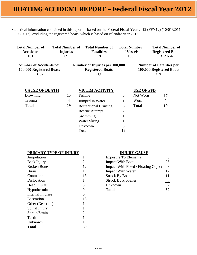Statistical information contained in this report is based on the Federal Fiscal Year 2012 (FFY12) (10/01/2011 – 09/30/2012), excluding the registered boats, which is based on calendar year 2012.

| <b>Total Number of</b><br><b>Total Number of</b><br><b>Accidents</b><br><b>Injuries</b><br>101<br>69 |  |    | <b>Total Number of</b><br><b>Fatalities</b><br>19                 |                | <b>Total Number</b><br>of Vessels<br>135 | <b>Total Number of</b><br><b>Registered Boats</b><br>312.664       |  |
|------------------------------------------------------------------------------------------------------|--|----|-------------------------------------------------------------------|----------------|------------------------------------------|--------------------------------------------------------------------|--|
| <b>Number of Accidents per</b><br>100,000 Registered Boats<br>31,6                                   |  |    | Number of Injuries per 100,000<br><b>Registered Boats</b><br>21,6 |                |                                          | <b>Number of Fatalities per</b><br>100,000 Registered Boats<br>5.9 |  |
| <b>CAUSE OF DEATH</b>                                                                                |  |    | <b>VICTIM ACTIVITY</b>                                            |                | <b>USE OF PFD</b>                        |                                                                    |  |
| Drowning                                                                                             |  | 15 | Fishing                                                           | 5              | Not Worn                                 | 17                                                                 |  |
| Trauma                                                                                               |  | 4  | Jumped In Water                                                   |                | Worn                                     | $\overline{2}$                                                     |  |
| <b>Total</b>                                                                                         |  | 19 | <b>Recreational Cruising</b>                                      | 6              | <b>Total</b>                             | 19                                                                 |  |
|                                                                                                      |  |    | <b>Rescue Attempt</b>                                             | $\overline{2}$ |                                          |                                                                    |  |
|                                                                                                      |  |    | Swimming                                                          |                |                                          |                                                                    |  |
|                                                                                                      |  |    | Water Skiing                                                      |                |                                          |                                                                    |  |
|                                                                                                      |  |    | Unknown                                                           | 3              |                                          |                                                                    |  |
|                                                                                                      |  |    | <b>Total</b>                                                      | 19             |                                          |                                                                    |  |

|  |  |  |  | PRIMARY TYPE OF INJURY |  |  |
|--|--|--|--|------------------------|--|--|
|  |  |  |  |                        |  |  |

| Amputation          |    |
|---------------------|----|
| Back Injury         | 2  |
| <b>Broken Bones</b> | 12 |
| <b>Burns</b>        | 1  |
| Contusion           | 13 |
| Dislocation         | 1  |
| Head Injury         | 5  |
| Hypothermia         | 9  |
| Internal Injuries   | 6  |
| Laceration          | 13 |
| Other (Describe)    | 1  |
| Spinal Injury       | 1  |
| Sprain/Strain       | 2  |
| Teeth               | 1  |
| Unknown             | 1  |
| <b>Total</b>        |    |
|                     |    |

#### **INJURY CAUSE**

| Amputation          |                             | <b>Exposure To Elements</b>         | 8  |
|---------------------|-----------------------------|-------------------------------------|----|
| Back Injury         | $\mathcal{D}_{\mathcal{L}}$ | <b>Impact With Boat</b>             | 26 |
| <b>Broken Bones</b> | 12                          | Impact With Fixed / Floating Object | 8  |
| <b>Burns</b>        |                             | <b>Impact With Water</b>            | 12 |
| Contusion           | 13                          | <b>Struck By Boat</b>               |    |
| Dislocation         |                             | <b>Struck By Propeller</b>          | 3  |
| Head Injury         |                             | Unknown                             | 2  |
| Hypothermia         |                             | <b>Total</b>                        | 69 |
|                     |                             |                                     |    |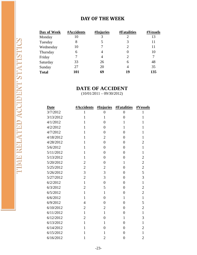#### **DAY OF THE WEEK**

| Day of Week  | #Accidents | #Injuries | <b>#Fatalities</b>          | #Vessels |
|--------------|------------|-----------|-----------------------------|----------|
| Monday       | 10         | 3         | 2                           | 13       |
| Tuesday      | 8          | 5         | 3                           | 11       |
| Wednesday    | 10         | 7         | 2                           | 11       |
| Thursday     | 6          | 4         |                             | 10       |
| Friday       | 7          | 4         | $\mathcal{D}_{\mathcal{L}}$ | 7        |
| Saturday     | 33         | 26        | 6                           | 48       |
| Sunday       | 27         | 20        | $\overline{4}$              | 35       |
| <b>Total</b> | 101        | 69        | 19                          | 135      |

#### **DATE OF ACCIDENT**

 $(10/01/2011 - 09/30/2012)$ 

| <b>Date</b> | #Accidents     | #Injuries      | <b>#Fatalities</b> | #Vessels         |
|-------------|----------------|----------------|--------------------|------------------|
| 3/7/2012    | 1              | $\overline{0}$ | $\overline{0}$     | 1                |
| 3/13/2012   | $\mathbf{1}$   | $\mathbf{1}$   | $\overline{0}$     | $\mathbf{1}$     |
| 4/1/2012    | 1              | $\overline{0}$ | 1                  | $\mathbf{1}$     |
| 4/2/2012    | $\mathbf{1}$   | $\overline{0}$ | $\mathbf{1}$       | $\mathbf{1}$     |
| 4/7/2012    | $\mathbf{1}$   | $\overline{0}$ | $\overline{0}$     | $\mathbf{1}$     |
| 4/18/2012   | $\mathbf{1}$   | $\overline{2}$ | $\overline{0}$     | $\mathbf{1}$     |
| 4/28/2012   | $\mathbf{1}$   | $\overline{0}$ | $\overline{0}$     | $\overline{2}$   |
| 5/6/2012    | $\mathbf{1}$   | $\overline{0}$ | $\overline{0}$     | $\mathbf{1}$     |
| 5/11/2012   | $\mathbf{1}$   | $\overline{0}$ | $\overline{0}$     | $\mathbf{1}$     |
| 5/13/2012   | $\mathbf{1}$   | $\overline{0}$ | $\overline{0}$     | $\boldsymbol{2}$ |
| 5/20/2012   | $\overline{2}$ | $\overline{0}$ | $\mathbf{1}$       | $\overline{2}$   |
| 5/25/2012   | $\overline{c}$ | $\overline{2}$ | $\overline{0}$     | $\overline{2}$   |
| 5/26/2012   | 3              | 3              | $\overline{0}$     | 5                |
| 5/27/2012   | $\overline{2}$ | 3              | $\overline{0}$     | 3                |
| 6/2/2012    | $\mathbf{1}$   | $\overline{0}$ | $\overline{0}$     | $\mathbf{1}$     |
| 6/3/2012    | $\overline{2}$ | 5              | $\overline{0}$     | $\overline{2}$   |
| 6/5/2012    | $\mathbf{1}$   | $\mathbf{1}$   | $\overline{0}$     | $\overline{2}$   |
| 6/6/2012    | $\mathbf{1}$   | $\overline{0}$ | $\mathbf{1}$       | $\mathbf{1}$     |
| 6/9/2012    | $\overline{4}$ | $\overline{0}$ | $\overline{0}$     | 5                |
| 6/10/2012   | $\overline{2}$ | $\overline{2}$ | $\overline{0}$     | $\overline{2}$   |
| 6/11/2012   | $\mathbf{1}$   | $\mathbf{1}$   | $\overline{0}$     | $\mathbf{1}$     |
| 6/12/2012   | $\overline{2}$ | $\overline{0}$ | $\mathbf{1}$       | 3                |
| 6/13/2012   | $\mathbf{1}$   | $\mathbf{1}$   | $\overline{0}$     | $\mathbf{1}$     |
| 6/14/2012   | 1              | $\overline{0}$ | $\overline{0}$     | $\overline{2}$   |
| 6/15/2012   | 1              | $\mathbf{1}$   | $\overline{0}$     | $\mathbf{1}$     |
| 6/16/2012   | $\mathbf{1}$   | $\overline{2}$ | $\overline{0}$     | $\overline{2}$   |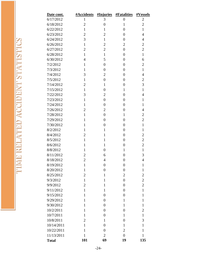| Date cont.   | <b>#Accidents</b> | #Injuries        | <b>#Fatalities</b> | #Vessels         |
|--------------|-------------------|------------------|--------------------|------------------|
| 6/17/2012    | 1                 | 3                | $\boldsymbol{0}$   | $\overline{c}$   |
| 6/18/2012    | $\overline{c}$    | $\overline{0}$   | $\mathbf{1}$       | $\overline{2}$   |
| 6/22/2012    | $\mathbf{1}$      | $\mathbf{1}$     | $\overline{0}$     | $\mathbf{1}$     |
| 6/23/2012    | $\overline{2}$    | $\overline{2}$   | $\overline{0}$     | $\overline{4}$   |
| 6/24/2012    | 3                 | $\mathbf{1}$     | $\overline{0}$     | $\overline{4}$   |
| 6/26/2012    | $\mathbf{1}$      | $\overline{2}$   | $\overline{2}$     | $\overline{c}$   |
| 6/27/2012    | $\overline{c}$    | $\overline{2}$   | $\overline{0}$     | $\overline{2}$   |
| 6/28/2012    | $\mathbf{1}$      | $\mathbf{1}$     | $\overline{0}$     | $\mathbf{1}$     |
| 6/30/2012    | $\overline{4}$    | 5                | $\overline{0}$     | 6                |
| 7/2/2012     | $\mathbf{1}$      | $\overline{0}$   | $\overline{0}$     | $\overline{2}$   |
| 7/3/2012     | $\mathbf{1}$      | $\overline{0}$   | $\overline{0}$     | $\mathbf{1}$     |
| 7/4/2012     | 3                 | $\overline{2}$   | $\overline{0}$     | $\overline{4}$   |
| 7/5/2012     | $\mathbf{1}$      | $\boldsymbol{0}$ | $\overline{0}$     | $\overline{2}$   |
| 7/14/2012    | $\overline{2}$    | $\mathbf{1}$     | $\overline{0}$     | 3                |
| 7/15/2012    | $\mathbf{1}$      | $\overline{0}$   | $\mathbf{1}$       | $\mathbf{1}$     |
| 7/22/2012    | 3                 | $\mathbf{2}$     | $\overline{0}$     | $\overline{4}$   |
| 7/23/2012    | $\mathbf{1}$      | $\overline{0}$   | $\overline{0}$     | $\mathbf{1}$     |
| 7/24/2012    | $\mathbf{1}$      | $\overline{0}$   | $\overline{0}$     | $\mathbf{1}$     |
| 7/26/2012    | $\overline{2}$    | $\overline{2}$   | $\overline{0}$     | $\overline{4}$   |
| 7/28/2012    | $\mathbf{1}$      | $\overline{0}$   | $\mathbf{1}$       | $\overline{2}$   |
| 7/29/2012    | $\mathbf{1}$      | $\overline{0}$   | $\overline{0}$     | $\overline{2}$   |
| 7/30/2012    | $\mathbf{1}$      | $\overline{0}$   | $\overline{0}$     | $\mathbf{1}$     |
| 8/2/2012     | $\mathbf{1}$      | $\mathbf{1}$     | $\overline{0}$     | $\mathbf{1}$     |
| 8/4/2012     | $\overline{2}$    | $\mathbf{1}$     | $\overline{0}$     | $\overline{2}$   |
| 8/5/2012     | $\mathbf{1}$      | $\mathbf{1}$     | $\overline{0}$     | $\overline{2}$   |
| 8/6/2012     | $\mathbf{1}$      | $\mathbf{1}$     | $\overline{0}$     | $\overline{c}$   |
| 8/8/2012     | $\mathbf{1}$      | $\overline{0}$   | $\mathbf{1}$       | $\mathbf{1}$     |
| 8/11/2012    | $\overline{c}$    | 6                | $\boldsymbol{0}$   | 3                |
| 8/18/2012    | $\overline{2}$    | $\overline{4}$   | $\overline{0}$     | $\overline{4}$   |
| 8/19/2012    | $\mathbf{1}$      | $\overline{0}$   | $\overline{0}$     | $\mathbf{1}$     |
| 8/20/2012    | $\mathbf{1}$      | $\overline{0}$   | $\overline{0}$     | $\mathbf{1}$     |
| 8/25/2012    | $\overline{c}$    | $\mathbf{1}$     | $\overline{2}$     | $\boldsymbol{2}$ |
| 9/3/2012     | $\mathbf{1}$      | $\mathbf{1}$     | $\overline{0}$     | $\overline{2}$   |
| 9/9/2012     | $\overline{2}$    | $\mathbf{1}$     | $\overline{0}$     | $\overline{2}$   |
| 9/11/2012    | $\mathbf{1}$      | $\mathbf{1}$     | $\overline{0}$     | $\mathbf{1}$     |
| 9/15/2012    | $\mathbf{1}$      | $\overline{0}$   | $\overline{0}$     | $\mathbf{1}$     |
| 9/29/2012    | $\mathbf{1}$      | $\overline{0}$   | $\mathbf{1}$       | $\mathbf{1}$     |
| 9/30/2012    | $\mathbf{1}$      | $\boldsymbol{0}$ | $\mathbf{1}$       | $\mathbf{1}$     |
| 10/2/2011    | $\mathbf{1}$      | $\overline{0}$   | $\overline{0}$     | $\overline{2}$   |
| 10/7/2011    | $\mathbf{1}$      | $\overline{0}$   | $\mathbf{1}$       | $\mathbf{1}$     |
| 10/8/2011    | $\overline{c}$    | 1                | $\overline{0}$     | 3                |
| 10/14/2011   | $\mathbf{1}$      | $\overline{0}$   | $\mathbf{1}$       | $\mathbf{1}$     |
| 10/22/2011   | $\mathbf{1}$      | $\boldsymbol{0}$ | $\overline{2}$     | $\mathbf{1}$     |
| 11/13/2011   | $\mathbf{1}$      | $\overline{2}$   | $\boldsymbol{0}$   | $\mathbf{1}$     |
| <b>Total</b> | 101               | 69               | 19                 | 135              |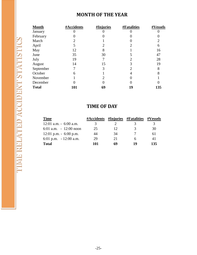#### **MONTH OF THE YEAR**

| <b>Month</b> | #Accidents     | <b>#Injuries</b> | <b>#Fatalities</b> | #Vessels |
|--------------|----------------|------------------|--------------------|----------|
| January      |                |                  |                    |          |
| February     |                |                  |                    |          |
| March        | $\overline{2}$ |                  |                    |          |
| April        | 5              | 2                | 2                  | 6        |
| May          | 12             | 8                |                    | 16       |
| June         | 35             | 30               |                    | 47       |
| July         | 19             |                  |                    | 28       |
| August       | 14             | 15               |                    | 19       |
| September    |                | 3                |                    | 8        |
| October      | 6              |                  | 4                  |          |
| November     |                | 2                |                    |          |
| December     |                |                  |                    |          |
| <b>Total</b> | 101            | 69               | 19                 | 135      |

#### **TIME OF DAY**

| <b>Time</b>               | #Accidents |    | #Injuries #Fatalities | #Vessels |
|---------------------------|------------|----|-----------------------|----------|
| $12:01$ a.m. $-6:00$ a.m. | 3          |    |                       |          |
| 6:01 a.m. $-12:00$ noon   | 25         | 12 | 3                     | 30       |
| $12:01$ p.m. $-6:00$ p.m. | 44         | 34 |                       | 61       |
| 6:01 p.m. $-12:00$ a.m.   | 29         | 21 | 6                     | 41       |
| <b>Total</b>              | 101        | 69 | 14                    | 135      |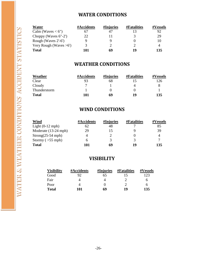#### **WATER CONDITIONS**

| Water                     | #Accidents | #Injuries | <b>#Fatalities</b> | #Vessels |
|---------------------------|------------|-----------|--------------------|----------|
| Calm (Waves $< 6$ ")      |            |           |                    |          |
| Choppy (Waves $6"$ -2')   | 22         |           |                    | 29       |
| Rough (Waves 2'-6')       |            | Q         |                    | 10       |
| Very Rough (Waves $>6'$ ) | 3          |           |                    |          |
| <b>Total</b>              | 101        | 69        | 14                 | 135      |

#### **WEATHER CONDITIONS**

| Weather      | #Accidents | #Injuries | <b>#Fatalities</b> | #Vessels |
|--------------|------------|-----------|--------------------|----------|
| Clear        |            | 68        |                    | 126      |
| Cloudy       |            |           |                    |          |
| Thunderstorm |            |           |                    |          |
| <b>Total</b> | 101        | 69        | 10                 | 135      |

#### **WIND CONDITIONS**

| Wind                 | #Accidents | #Injuries | <b>#Fatalities</b> | #Vessels |
|----------------------|------------|-----------|--------------------|----------|
| Light $(0-12$ mph)   | 62         | 48        |                    | 85       |
| Moderate (13-24 mph) | 29         | 15        |                    | 39       |
| $Strong(25-54 mph)$  |            |           |                    |          |
| Stormy $($ > 55 mph) |            | 3         |                    |          |
| <b>Total</b>         | 101        | 69        | 19                 | 135      |

#### **VISIBILITY**

| <b>Visibility</b> | #Accidents | #Injuries | <b>#Fatalities</b> | <b>#Vessels</b> |
|-------------------|------------|-----------|--------------------|-----------------|
| Good              | 92         | 65        |                    | 123             |
| Fair              |            |           |                    | h               |
| Poor              |            |           |                    | h               |
| <b>Total</b>      | 101        | 69        | 19                 | 135             |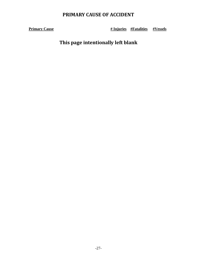#### **PRIMARY CAUSE OF ACCIDENT**

**Primary Cause 1988 # Injuries #Fatalities #Vessels** 

**This page intentionally left blank**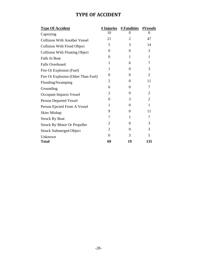#### **TYPE OF ACCIDENT**

| # Injuries     | # Fatalities   | #Vessels       |
|----------------|----------------|----------------|
| 10             | $\theta$       | 6              |
| 21             | $\overline{2}$ | 47             |
| 5              | 3              | 14             |
| 0              | 0              | 3              |
| 0              | 1              | $\mathbf{1}$   |
| 1              | 6              | 7              |
| 1              | 0              | 3              |
| 0              | 0              | $\overline{2}$ |
| 2              | 0              | 11             |
| 6              | 0              | 7              |
| $\overline{2}$ | 0              | 2              |
| 0              | 3              | $\overline{2}$ |
| 1              | 0              | $\mathbf{1}$   |
| 9              | 0              | 11             |
| 7              | 1              | 7              |
| 2              | 0              | 3              |
| 2              | 0              | 3              |
| 0              | 3              | 5              |
| 69             | 19             | 135            |
|                |                |                |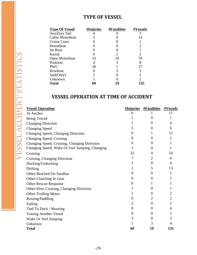#### **TYPE OF VESSEL**

| <b>Type Of Vessel</b> | #Injuries | <b>#Fatalities</b>          | #Vessels       |
|-----------------------|-----------|-----------------------------|----------------|
| <b>Auxiliary Sail</b> |           |                             |                |
| Cabin Motorboat       | 5         |                             | 14             |
| Cruise Liner          |           |                             |                |
| Houseboat             |           |                             | 2              |
| Jet Boat              |           |                             |                |
| Kayak                 |           | $\mathcal{D}_{\mathcal{L}}$ | 2              |
| Open Motorboat        | 33        | 10                          | 70             |
| Pontoon               | 4         | 3                           | 8              |
| <b>PWC</b>            | 20        |                             | 27             |
| Rowboat               |           |                             | 3              |
| Sail(Only)            | 2         |                             | $\overline{2}$ |
| Unknown               |           |                             | $\overline{2}$ |
| <b>Total</b>          | 69        | 19                          | 135            |

#### **VESSEL OPERATION AT TIME OF ACCIDENT**

| <b>Vessel Operation</b>                        | <u>#Injuries</u> | <b>#Fatalities</b> | #Vessels       |
|------------------------------------------------|------------------|--------------------|----------------|
| At Anchor                                      | 6                |                    | 11             |
| Being Towed                                    |                  | $\Omega$           |                |
| <b>Changing Direction</b>                      |                  | $\Omega$           | 4              |
| <b>Changing Speed</b>                          | 5                | $\Omega$           | 6              |
| Changing Speed, Changing Direction             | 6                |                    | 12             |
| Changing Speed, Cruising                       | 0                | $\Omega$           | 1              |
| Changing Speed, Cruising, Changing Direction   | $\overline{0}$   | $\Omega$           |                |
| Changing Speed, Wake Or Surf Jumping, Changing | 1                | $\Omega$           |                |
| Cruising                                       | 32               | 4                  | 54             |
| Cruising, Changing Direction                   | 7                | 2                  | 6              |
| Docking/Undocking                              |                  | $\theta$           | 4              |
| Drifting                                       |                  | 5                  | 13             |
| Other-Beached On Sandbar                       | $\overline{0}$   | $\theta$           |                |
| Other-Clutching In Gear                        | $\overline{0}$   | $\overline{0}$     |                |
| <b>Other-Rescue Response</b>                   | 0                |                    |                |
| Other-Slow Cruising, Changing Direction        |                  | $\overline{0}$     |                |
| <b>Other-Trolling Motor</b>                    |                  | $\overline{0}$     | 2              |
| Rowing/Paddling                                | 0                | 2                  | $\overline{2}$ |
| Sailing                                        | 2                | $\overline{0}$     |                |
| Tied To Dock / Mooring                         | $\overline{0}$   | $\overline{0}$     | 4              |
| <b>Towing Another Vessel</b>                   | $\overline{0}$   | $\overline{0}$     |                |
| Wake Or Surf Jumping                           | 3                | $\theta$           | 3              |
| Unknown                                        |                  | 3                  | 4              |
| <b>Total</b>                                   | 69               | 19                 | 135            |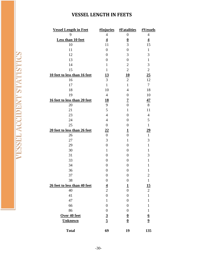#### **VESSEL LENGTH IN FEETS**

| <b>Vessel Length in Feet</b> | #Injuries        | <b>#Fatalities</b>       | #Vessels                |
|------------------------------|------------------|--------------------------|-------------------------|
| 9                            | $\overline{4}$   | $\boldsymbol{0}$         | $\overline{4}$          |
| Less than 10 feet            | $\overline{4}$   | $\overline{\mathbf{0}}$  | $\overline{4}$          |
| 10                           | 11               | $\overline{3}$           | 15                      |
| 11                           | $\boldsymbol{0}$ | $\boldsymbol{0}$         | $\mathbf{1}$            |
| 12                           | $\boldsymbol{0}$ | 3                        | 3                       |
| 13                           | $\boldsymbol{0}$ | $\boldsymbol{0}$         | $\mathbf{1}$            |
| 14                           | $\mathbf{1}$     | $\overline{c}$           | 3                       |
| 15                           | $\mathbf{1}$     | $\overline{2}$           | $\overline{2}$          |
| 10 feet to less than 16 feet | <u>13</u>        | $\underline{10}$         | 25                      |
| 16                           | 3                | $\sqrt{2}$               | 12                      |
| 17                           | $\mathbf{1}$     | $\mathbf{1}$             | $\tau$                  |
| 18                           | 10               | $\overline{4}$           | 18                      |
| 19                           | $\overline{4}$   | $\boldsymbol{0}$         | 10                      |
| 16 feet to less than 20 feet | <u>18</u>        | <u>7</u>                 | <u>47</u>               |
| 20                           | 9                | $\boldsymbol{0}$         | 8                       |
| 21                           | 5                | $\mathbf{1}$             | 11                      |
| 23                           | $\overline{4}$   | $\overline{0}$           | $\overline{4}$          |
| 24                           | $\overline{4}$   | $\boldsymbol{0}$         | 5                       |
| 25                           | $\boldsymbol{0}$ | $\boldsymbol{0}$         | $\mathbf{1}$            |
| 20 feet to less than 26 feet | $\overline{22}$  | $\overline{1}$           | <u>29</u>               |
| 26                           | $\boldsymbol{0}$ | $\boldsymbol{0}$         | $\mathbf{1}$            |
| 27                           | 3                | $\mathbf{1}$             | 3                       |
| 29                           | $\boldsymbol{0}$ | $\overline{0}$           | $\mathbf{1}$            |
| 30                           | $\mathbf{1}$     | $\boldsymbol{0}$         | $\mathbf{1}$            |
| 31                           | $\boldsymbol{0}$ | $\boldsymbol{0}$         | 3                       |
| 33                           | $\boldsymbol{0}$ | $\overline{0}$           | $\mathbf{1}$            |
| 34                           | $\boldsymbol{0}$ | $\overline{0}$           | $\mathbf 1$             |
| 36                           | $\boldsymbol{0}$ | $\boldsymbol{0}$         | $\mathbf{1}$            |
| 37                           | $\boldsymbol{0}$ | $\boldsymbol{0}$         | $\overline{2}$          |
| 38                           | $\boldsymbol{0}$ | $\boldsymbol{0}$         | $\mathbf{1}$            |
| 26 feet to less than 40 feet |                  | <u>1</u>                 | <u>15</u>               |
| 40                           | $\frac{4}{2}$    | $\overline{0}$           | $\sqrt{2}$              |
| 41                           | $\overline{0}$   | $\overline{0}$           | $\mathbf{1}$            |
| 47                           | $\mathbf{1}$     | $\boldsymbol{0}$         | $\mathbf{1}$            |
| 66                           | $\boldsymbol{0}$ | $\boldsymbol{0}$         | $\mathbf{1}$            |
| 86                           | $\boldsymbol{0}$ | $\boldsymbol{0}$         | $\mathbf{1}$            |
| Over 40 feet                 |                  | $\overline{\mathbf{0}}$  | $\overline{\mathbf{6}}$ |
| <b>Unknown</b>               | $\frac{3}{5}$    | $\underline{\mathbf{0}}$ | $\overline{\mathbf{2}}$ |
| <b>Total</b>                 | 69               | 19                       | 135                     |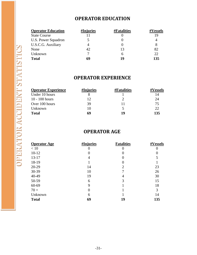#### **OPERATOR EDUCATION**

#### **Operator Education #Injuries #Fatalities #Vessels**

| Optiatul Euguation         | $\pi$ mediants | $\pi$ r atalitics | $\pi$ v CSSCIS |
|----------------------------|----------------|-------------------|----------------|
| <b>State Course</b>        |                |                   | 19             |
| <b>U.S. Power Squadron</b> |                |                   |                |
| <b>U.S.C.G. Auxiliary</b>  |                |                   |                |
| None                       | 42             | 13                | 82             |
| Unknown                    |                |                   | 22             |
| <b>Total</b>               | 69             | 19                | 135            |
|                            |                |                   |                |

#### **OPERATOR EXPERIENCE**

| <b>Operator Experience</b> | #Injuries | <b>#Fatalities</b> | <b>#Vessels</b> |
|----------------------------|-----------|--------------------|-----------------|
| Under 10 hours             |           |                    | 14              |
| $10 - 100$ hours           | 12        |                    | 24              |
| Over 100 hours             | 39        |                    | 75              |
| Unknown                    | 10        |                    | 22              |
| <b>Total</b>               | 69        | 19                 | 135             |

#### **OPERATOR AGE**

| <b>Operator Age</b> | #Injuries | <b>Fatalities</b> | #Vessels |
|---------------------|-----------|-------------------|----------|
| < 10                | 0         |                   | 0        |
| $10 - 12$           | 0         |                   |          |
| $13 - 17$           | 4         |                   | 5        |
| 18-19               |           |                   |          |
| 20-29               | 14        | 2                 | 23       |
| 30-39               | 10        |                   | 26       |
| 40-49               | 19        |                   | 30       |
| 50-59               | 6         | 3                 | 15       |
| 60-69               | 9         |                   | 18       |
| $70 +$              | $\Omega$  |                   | 3        |
| Unknown             | 6         |                   | 14       |
| <b>Total</b>        | 69        | 19                | 135      |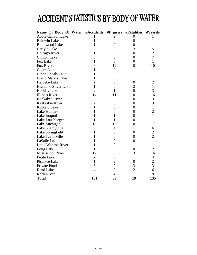# ACCIDENT STATISTICS BY BODY OF WATER

| Name_Of_Body_Of_Water #Accidents |                | #Injuries        | <b>#Fatalities</b> | #Vessels       |
|----------------------------------|----------------|------------------|--------------------|----------------|
| Apple Canyon Lake                |                | 2                | 0                  | I              |
| <b>Baldwin Lake</b>              | 1              | $\overline{0}$   | $\boldsymbol{0}$   | 1              |
| <b>Braidwood Lake</b>            | 1              | $\overline{0}$   | $\overline{0}$     | 1              |
| Carlyle Lake                     | 5              | $\overline{2}$   | 2                  | 5              |
| Chicago River                    | 1              | $\overline{0}$   | $\overline{0}$     | $\overline{c}$ |
| <b>Clinton Lake</b>              | 5              | 5                | $\overline{0}$     | $\overline{7}$ |
| Fox Lake                         | $\mathbf{1}$   | $\theta$         | $\overline{0}$     | $\mathbf{1}$   |
| Fox River                        | 6              | 12               | $\overline{0}$     | 10             |
| Gages Lake                       | 1              | $\boldsymbol{0}$ | 1                  | 1              |
| <b>Glenn Shoals Lake</b>         | 1              | $\overline{0}$   |                    | 1              |
| <b>Grand Marais Lake</b>         | 1              | $\overline{0}$   | 1                  | $\mathbf 1$    |
| Heideke Lake                     | $\overline{2}$ | 0                | 0                  | $\overline{2}$ |
| <b>Highland Silver Lake</b>      | $\mathbf{1}$   | $\overline{0}$   | $\overline{2}$     | $\mathbf{1}$   |
| <b>Holiday Lake</b>              | $\overline{2}$ | 1                | $\overline{0}$     | 3              |
| <b>Illinois River</b>            | 14             | 11               | 0                  | 16             |
| Kankakee River                   | 3              | 3                | $\overline{0}$     | 3              |
| Kaskaskia River                  | $\overline{2}$ | $\overline{0}$   | $\overline{0}$     | 3              |
| Kinkaid Lake                     | 1              | 0                | 0                  | $\mathbf{1}$   |
| Lake Holiday                     | 1              | $\overline{0}$   | $\overline{0}$     | $\overline{c}$ |
| Lake Iroquois                    | 1              | 1                | $\overline{0}$     | $\mathbf{1}$   |
| Lake Lou Yaeger                  | 1              | 1                | $\overline{0}$     | $\mathbf{1}$   |
| Lake Michigan                    | 12             | 10               | $\overline{0}$     | 17             |
| Lake Shelbyville                 | 5              | 4                | 1                  | 6              |
| Lake Springfield                 | 1              | 0                | $\boldsymbol{0}$   | $\frac{2}{2}$  |
| Lake Taylorville                 |                | 0                | 0                  |                |
| LaSalle Lake                     |                | $\overline{0}$   | $\overline{0}$     | $\mathbf{1}$   |
| Little Wabash River              | 1              | $\overline{0}$   | 1                  | $\mathbf{1}$   |
| Long Lake                        | 1              | 0                | 0                  | $\overline{2}$ |
| Mississippi River                | 12             | 9                | 3                  | 16             |
| Petite Lake                      | $\overline{2}$ | $\overline{0}$   | 1                  | 4              |
| Pistakee Lake                    | $\mathbf{1}$   | $\overline{2}$   | $\overline{0}$     | $\overline{c}$ |
| Private Pond                     | 3              | $\overline{0}$   | 3                  | $\overline{3}$ |
| <b>Rend Lake</b>                 | 4              | $\overline{2}$   | $\overline{2}$     | 6              |
| <b>Rock River</b>                | 5              | $\overline{4}$   | 1                  | 9              |
| Total                            | 101            | 69               | 19                 | 135            |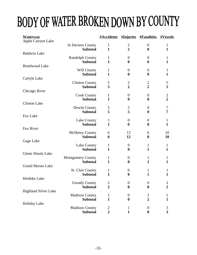# BODY OF WATER BROKEN DOWN BY COUNTY

| <b>Waterway</b>             |                          | <b>#Accidents #Injuries</b> |                  | <b>#Fatalities</b> | #Vessels       |
|-----------------------------|--------------------------|-----------------------------|------------------|--------------------|----------------|
| Apple Canyon Lake           | <b>Jo Daviess County</b> | $\mathbf{1}$                | $\overline{2}$   | $\boldsymbol{0}$   | $\mathbf{1}$   |
|                             | <b>Subtotal</b>          | $\mathbf{1}$                | $\overline{2}$   | $\bf{0}$           | $\mathbf{1}$   |
| <b>Baldwin Lake</b>         |                          |                             |                  |                    |                |
|                             | <b>Randolph County</b>   | $\mathbf{1}$                | $\overline{0}$   | $\boldsymbol{0}$   | $\mathbf{1}$   |
|                             | <b>Subtotal</b>          | $\mathbf{1}$                | $\boldsymbol{0}$ | $\bf{0}$           | $\mathbf{1}$   |
| <b>Braidwood Lake</b>       |                          |                             |                  |                    |                |
|                             | Will County              | $\mathbf{1}$                | $\boldsymbol{0}$ | $\overline{0}$     | $\mathbf{1}$   |
|                             | <b>Subtotal</b>          | $\mathbf{1}$                | $\boldsymbol{0}$ | $\boldsymbol{0}$   | $\mathbf{1}$   |
| Carlyle Lake                |                          |                             |                  |                    |                |
|                             | <b>Clinton County</b>    | 5                           | $\frac{2}{2}$    | $\frac{2}{2}$      | 5              |
|                             | <b>Subtotal</b>          | 5                           |                  |                    | 5              |
| Chicago River               |                          |                             |                  |                    |                |
|                             | <b>Cook County</b>       | $\mathbf{1}$                | $\boldsymbol{0}$ | $\boldsymbol{0}$   | $\mathbf{2}$   |
|                             | <b>Subtotal</b>          | $\mathbf{1}$                | $\boldsymbol{0}$ | $\boldsymbol{0}$   | $\overline{2}$ |
| <b>Clinton Lake</b>         |                          |                             |                  |                    |                |
|                             | Dewitt County            | 5                           | 5                | $\overline{0}$     | $\tau$         |
| Fox Lake                    | <b>Subtotal</b>          | 5                           | 5                | $\boldsymbol{0}$   | $\overline{7}$ |
|                             | Lake County              | $\mathbf{1}$                | $\boldsymbol{0}$ | $\overline{0}$     | $\mathbf{1}$   |
|                             | <b>Subtotal</b>          | $\mathbf{1}$                | $\boldsymbol{0}$ | $\boldsymbol{0}$   | $\mathbf{1}$   |
| Fox River                   |                          |                             |                  |                    |                |
|                             | <b>McHenry County</b>    | 6                           | 12               | $\boldsymbol{0}$   | 10             |
|                             | <b>Subtotal</b>          | 6                           | 12               | $\boldsymbol{0}$   | 10             |
| Gage Lake                   |                          |                             |                  |                    |                |
|                             | Lake County              | $\mathbf{1}$                | $\overline{0}$   | 1                  | $\mathbf{1}$   |
|                             | <b>Subtotal</b>          | $\mathbf{1}$                | $\boldsymbol{0}$ | $\mathbf{1}$       | $\mathbf{1}$   |
| <b>Glenn Shoals Lake</b>    |                          |                             |                  |                    |                |
|                             | <b>Montgomery County</b> | $\mathbf{1}$                | $\boldsymbol{0}$ | $\mathbf{1}$       | 1              |
|                             | <b>Subtotal</b>          | $\mathbf{1}$                | $\boldsymbol{0}$ | $\mathbf{1}$       | $\mathbf{1}$   |
| <b>Grand Marais Lake</b>    |                          |                             |                  |                    |                |
|                             | <b>St. Clair County</b>  | 1                           | $\boldsymbol{0}$ | $\mathbf{1}$       | 1              |
|                             | <b>Subtotal</b>          | $\mathbf{1}$                | $\boldsymbol{0}$ | $\mathbf{1}$       | 1              |
| Heideke Lake                | <b>Grundy County</b>     | $\overline{c}$              | $\boldsymbol{0}$ | $\boldsymbol{0}$   | $\overline{c}$ |
|                             | <b>Subtotal</b>          | $\overline{2}$              | $\boldsymbol{0}$ | $\bf{0}$           | $\overline{2}$ |
| <b>Highland Silver Lake</b> |                          |                             |                  |                    |                |
|                             | <b>Madison County</b>    | 1                           | $\boldsymbol{0}$ |                    | 1              |
|                             | <b>Subtotal</b>          | $\mathbf{1}$                | $\boldsymbol{0}$ | $\frac{2}{2}$      | $\mathbf{1}$   |
| Holiday Lake                |                          |                             |                  |                    |                |
|                             | <b>Madison County</b>    | $\overline{c}$              | 1                | $\boldsymbol{0}$   | 3              |
|                             | <b>Subtotal</b>          | $\overline{2}$              | 1                | $\boldsymbol{0}$   | 3              |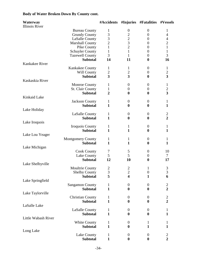#### **Body of Water Broken Down By County cont.**

| Waterway<br><b>Illinois River</b> |                          | #Accidents              |                         | #Injuries #Fatalities | #Vessels                |
|-----------------------------------|--------------------------|-------------------------|-------------------------|-----------------------|-------------------------|
|                                   |                          |                         |                         |                       |                         |
|                                   | <b>Bureau County</b>     | $\mathbf 1$             | $\boldsymbol{0}$        | $\boldsymbol{0}$      | 1                       |
|                                   | <b>Grundy County</b>     | 3                       | $\overline{c}$          | $\boldsymbol{0}$      | $\overline{4}$          |
|                                   | <b>LaSalle County</b>    | 3                       | $\overline{c}$          | $\boldsymbol{0}$      | $\overline{4}$          |
|                                   | <b>Marshall County</b>   | $\overline{2}$          | $\overline{3}$          | $\boldsymbol{0}$      | $\overline{2}$          |
|                                   | Pike County              | $\mathbf{1}$            | $\overline{2}$          | $\boldsymbol{0}$      | $\mathbf{1}$            |
|                                   | <b>Schuyler County</b>   | $\mathbf{1}$            | $\mathbf{1}$            | $\overline{0}$        | $\mathbf{1}$            |
|                                   | <b>Tazewell County</b>   | 3                       | $\mathbf{1}$            | $\overline{0}$        | 3                       |
|                                   | <b>Subtotal</b>          | 14                      | 11                      | $\boldsymbol{0}$      | 16                      |
| Kankakee River                    |                          |                         |                         |                       |                         |
|                                   | Kankakee County          | 1                       | 1                       | $\boldsymbol{0}$      | $\mathbf{1}$            |
|                                   | Will County              | $\overline{c}$          | $\overline{c}$          | $\boldsymbol{0}$      | $\frac{2}{3}$           |
|                                   | <b>Subtotal</b>          | $\overline{\mathbf{3}}$ | $\overline{\mathbf{3}}$ | $\bf{0}$              |                         |
| Kaskaskia River                   |                          |                         |                         |                       |                         |
|                                   | Monroe County            | 1                       | $\boldsymbol{0}$        | $\boldsymbol{0}$      | $\mathbf{1}$            |
|                                   | St. Clair County         | 1                       | $\boldsymbol{0}$        | $\boldsymbol{0}$      | $\sqrt{2}$              |
|                                   | <b>Subtotal</b>          | $\overline{2}$          | $\boldsymbol{0}$        | $\bf{0}$              | $\overline{\mathbf{3}}$ |
| Kinkaid Lake                      |                          |                         |                         |                       |                         |
|                                   | <b>Jackson County</b>    | 1                       | $\boldsymbol{0}$        | $\boldsymbol{0}$      | 1                       |
|                                   | <b>Subtotal</b>          | $\mathbf{1}$            | $\boldsymbol{0}$        | $\boldsymbol{0}$      | $\mathbf{1}$            |
| Lake Holiday                      |                          |                         |                         |                       |                         |
|                                   | LaSalle County           | 1                       | $\boldsymbol{0}$        | $\boldsymbol{0}$      | $\overline{c}$          |
|                                   | <b>Subtotal</b>          | $\mathbf{1}$            | $\boldsymbol{0}$        | $\boldsymbol{0}$      | $\overline{2}$          |
| Lake Iroquois                     |                          |                         |                         |                       |                         |
|                                   | Iroquois County          | 1                       | 1                       | $\boldsymbol{0}$      | 1                       |
|                                   | <b>Subtotal</b>          | $\mathbf{1}$            | $\mathbf{1}$            | $\bf{0}$              | $\mathbf{1}$            |
| Lake Lou Yeager                   |                          |                         |                         |                       |                         |
|                                   | <b>Montgomery County</b> | 1                       | $\mathbf{1}$            | $\boldsymbol{0}$      | 1                       |
|                                   | <b>Subtotal</b>          | $\mathbf{1}$            | $\mathbf{1}$            | $\boldsymbol{0}$      | $\mathbf{1}$            |
| Lake Michigan                     |                          |                         |                         |                       |                         |
|                                   | <b>Cook County</b>       | 7                       | 5                       | $\theta$              | 10                      |
|                                   | Lake County              | 5                       | 5                       | $\boldsymbol{0}$      | $\tau$                  |
|                                   | <b>Subtotal</b>          | 12                      | 10                      |                       | 17                      |
|                                   |                          |                         |                         | $\boldsymbol{0}$      |                         |
| Lake Shelbyville                  |                          |                         |                         |                       |                         |
|                                   | <b>Moultrie County</b>   | $\frac{2}{3}$           | $\overline{c}$          | $\mathbf{1}$          | $\mathfrak{Z}$          |
|                                   | <b>Shelby County</b>     |                         | $\overline{2}$          | $\boldsymbol{0}$      | $\overline{3}$          |
|                                   | <b>Subtotal</b>          | 5                       | $\overline{\mathbf{4}}$ | $\mathbf{1}$          | 6                       |
| Lake Springfield                  |                          |                         |                         |                       |                         |
|                                   | <b>Sangamon County</b>   | $\mathbf 1$             | $\boldsymbol{0}$        | $\boldsymbol{0}$      | $\frac{2}{2}$           |
|                                   | <b>Subtotal</b>          | $\mathbf{1}$            | $\boldsymbol{0}$        | $\boldsymbol{0}$      |                         |
| Lake Taylorville                  |                          |                         |                         |                       |                         |
|                                   | <b>Christian County</b>  | 1                       | $\boldsymbol{0}$        | $\overline{0}$        | $\frac{2}{2}$           |
|                                   | <b>Subtotal</b>          | $\mathbf{1}$            | $\boldsymbol{0}$        | $\bf{0}$              |                         |
| LaSalle Lake                      |                          |                         |                         |                       |                         |
|                                   | <b>LaSalle County</b>    | $\mathbf 1$             | $\boldsymbol{0}$        | $\boldsymbol{0}$      | 1                       |
|                                   | <b>Subtotal</b>          | $\mathbf{1}$            | $\boldsymbol{0}$        | $\boldsymbol{0}$      | $\mathbf{1}$            |
| Little Wabash River               |                          |                         |                         |                       |                         |
|                                   | White County             | 1                       | $\boldsymbol{0}$        | 1                     |                         |
|                                   | <b>Subtotal</b>          | $\mathbf{1}$            | $\boldsymbol{0}$        | $\mathbf{1}$          | $\mathbf{1}$            |
| Long Lake                         |                          |                         |                         |                       |                         |
|                                   | Lake County              | $\mathbf{1}$            | $\boldsymbol{0}$        | $\boldsymbol{0}$      | $\overline{c}$          |
|                                   | <b>Subtotal</b>          | $\mathbf{1}$            | $\boldsymbol{0}$        | $\boldsymbol{0}$      | $\overline{2}$          |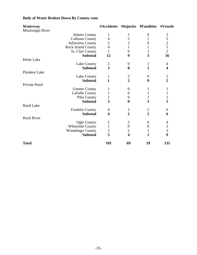#### **Body of Water Broken Down By County cont.**

| Waterway          |                         | #Accidents     |                  | #Injuries #Fatalities | #Vessels                                   |
|-------------------|-------------------------|----------------|------------------|-----------------------|--------------------------------------------|
| Mississippi River |                         |                |                  |                       |                                            |
|                   | <b>Adams County</b>     | 1              | $\mathbf{1}$     | $\boldsymbol{0}$      | $\overline{2}$                             |
|                   | <b>Calhoun County</b>   | 4              | 5                | 1                     | 5                                          |
|                   | JoDaviess County        | $\overline{c}$ | $\overline{2}$   | $\overline{0}$        | $\begin{array}{c} 2 \\ 5 \\ 2 \end{array}$ |
|                   | Rock Island County      | $\overline{4}$ | $\mathbf{1}$     |                       |                                            |
|                   | <b>St. Clair County</b> | 1              | $\overline{0}$   |                       |                                            |
|                   | <b>Subtotal</b>         | 12             | 9                | 3                     | 16                                         |
| Petite Lake       |                         |                |                  |                       |                                            |
|                   | Lake County             | $\overline{c}$ | $\overline{0}$   | 1                     | 4                                          |
|                   | <b>Subtotal</b>         | $\overline{2}$ | $\bf{0}$         | 1                     | $\overline{\mathbf{4}}$                    |
| Pistakee Lake     |                         |                |                  |                       |                                            |
|                   | Lake County             | $\mathbf{1}$   | $\overline{c}$   | $\theta$              | $\frac{2}{2}$                              |
|                   | <b>Subtotal</b>         | $\mathbf{1}$   | $\overline{2}$   | 0                     |                                            |
| Private Pond      |                         |                |                  |                       |                                            |
|                   | Greene County           | 1              | $\overline{0}$   | 1                     | 1                                          |
|                   | LaSalle County          | 1              | $\overline{0}$   | 1                     | $\mathbf{1}$                               |
|                   | Pike County             | 1              | $\overline{0}$   | 1                     | 1                                          |
|                   | <b>Subtotal</b>         | 3              | $\boldsymbol{0}$ | 3                     | 3                                          |
| <b>Rend Lake</b>  |                         |                |                  |                       |                                            |
|                   | <b>Franklin County</b>  | 4              | $\overline{2}$   | $\overline{c}$        | 6                                          |
|                   | <b>Subtotal</b>         | 4              | $\overline{2}$   | $\overline{2}$        | 6                                          |
| <b>Rock River</b> |                         |                |                  |                       |                                            |
|                   | Ogle County             | $\mathbf{2}$   | $\mathbf{2}$     | $\boldsymbol{0}$      | 4                                          |
|                   | <b>Whiteside County</b> | $\mathbf{1}$   | $\boldsymbol{0}$ | $\boldsymbol{0}$      | $\overline{c}$                             |
|                   | Winnebago County        | $\overline{c}$ | $\overline{2}$   | 1                     | $\overline{3}$                             |
|                   | <b>Subtotal</b>         | 5              | 4                |                       | $\boldsymbol{9}$                           |
| <b>Total</b>      |                         | 101            | 69               | 19                    | 135                                        |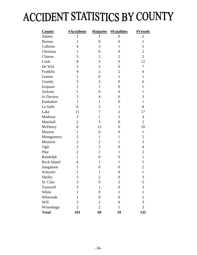# ACCIDENT STATISTICS BY COUNTY

| <b>County</b>     | #Accidents     | #Injuries        | <b>#Fatalities</b> | <u>#Vessels</u> |
|-------------------|----------------|------------------|--------------------|-----------------|
| <b>Adams</b>      | 1              | 1                | $\boldsymbol{0}$   | $\overline{2}$  |
| <b>Bureau</b>     | $\mathbf{1}$   | $\overline{0}$   | $\overline{0}$     | $\mathbf{1}$    |
| Calhoun           | $\overline{4}$ | 5                | $\mathbf{1}$       | 5               |
| Christian         | $\mathbf{1}$   | $\boldsymbol{0}$ | $\overline{0}$     | $\overline{c}$  |
| Clinton           | 5              | $\mathbf{2}$     | $\overline{2}$     | 5               |
| Cook              | 8              | 5                | $\overline{0}$     | 12              |
| De Witt           | 5              | 5                | $\overline{0}$     | $\tau$          |
| Franklin          | $\overline{4}$ | $\overline{c}$   | $\overline{2}$     | 6               |
| Greene            | $\mathbf{1}$   | $\boldsymbol{0}$ | $\mathbf{1}$       | $\mathbf{1}$    |
| Grundy            | 5              | $\mathbf{2}$     | $\overline{0}$     | 6               |
| Iroquois          | $\mathbf{1}$   | $\mathbf{1}$     | $\overline{0}$     | $\mathbf{1}$    |
| Jackson           | $\mathbf{1}$   | $\overline{0}$   | $\overline{0}$     | $\mathbf{1}$    |
| <b>Jo Daviess</b> | 3              | 4                | $\boldsymbol{0}$   | 3               |
| Kankakee          | $\mathbf{1}$   | $\mathbf{1}$     | $\overline{0}$     | $\mathbf{1}$    |
| La Salle          | 6              | $\mathbf{2}$     | $\mathbf{1}$       | 8               |
| Lake              | 11             | 7                | $\overline{2}$     | 17              |
| Madison           | 3              | $\mathbf{1}$     | $\overline{2}$     | $\overline{4}$  |
| Marshall          | $\overline{2}$ | 3                | $\overline{0}$     | $\overline{2}$  |
| McHenry           | 6              | 12               | $\overline{0}$     | 10              |
| Monroe            | $\mathbf{1}$   | $\boldsymbol{0}$ | $\overline{0}$     | $\mathbf{1}$    |
| Montgomery        | $\overline{2}$ | $\mathbf{1}$     | $\mathbf{1}$       | $\overline{c}$  |
| Moultrie          | $\overline{2}$ | $\overline{2}$   | $\mathbf{1}$       | 3               |
| Ogle              | $\overline{c}$ | $\overline{c}$   | $\overline{0}$     | $\overline{4}$  |
| Pike              | $\overline{2}$ | $\overline{2}$   | $\mathbf{1}$       | $\overline{c}$  |
| Randolph          | $\mathbf{1}$   | $\boldsymbol{0}$ | $\overline{0}$     | $\mathbf{1}$    |
| Rock Island       | $\overline{4}$ | $\mathbf{1}$     | $\mathbf{1}$       | 5               |
| Sangamon          | 1              | $\boldsymbol{0}$ | $\overline{0}$     | $\overline{c}$  |
| Schuyler          | $\mathbf{1}$   | 1                | $\boldsymbol{0}$   | $\mathbf{1}$    |
| Shelby            | 3              | $\boldsymbol{2}$ | $\boldsymbol{0}$   | 3               |
| St. Clair         | 3              | $\overline{0}$   | $\mathbf{2}$       | 5               |
| Tazewell          | 3              | $\mathbf{1}$     | $\overline{0}$     | 3               |
| White             | $\mathbf{1}$   | 0                | $\mathbf{1}$       | $\mathbf{1}$    |
| Whiteside         | $\mathbf{1}$   | $\overline{0}$   | $\boldsymbol{0}$   | $\overline{c}$  |
| Will              | 3              | $\overline{c}$   | $\overline{0}$     | $\overline{3}$  |
| Winnebago         | $\overline{2}$ | $\overline{c}$   | $\mathbf{1}$       | $\overline{3}$  |
| <b>Total</b>      | <b>101</b>     | 69               | 19                 | 135             |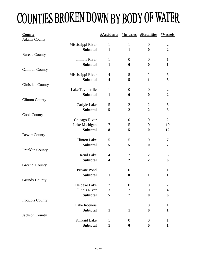# COUNTIES BROKEN DOWN BY BODY OF WATER

| <b>County</b>           |                                      |                     |                  | <b>#Accidents #Injuries #Fatalities</b> | <b>#Vessels</b> |
|-------------------------|--------------------------------------|---------------------|------------------|-----------------------------------------|-----------------|
| <b>Adams County</b>     |                                      |                     |                  |                                         |                 |
|                         | Mississippi River                    | $\mathbf{1}$        | $\mathbf{1}$     | $\boldsymbol{0}$                        | $\overline{2}$  |
|                         | <b>Subtotal</b>                      | $\mathbf{1}$        | $\mathbf{1}$     | $\boldsymbol{0}$                        | $\overline{2}$  |
| <b>Bureau County</b>    | <b>Illinois River</b>                |                     |                  |                                         |                 |
|                         | <b>Subtotal</b>                      | $\mathbf{1}$        | $\overline{0}$   | $\overline{0}$                          | $\mathbf{1}$    |
|                         |                                      | $\mathbf{1}$        | $\boldsymbol{0}$ | $\boldsymbol{0}$                        | $\mathbf{1}$    |
| <b>Calhoun County</b>   |                                      |                     |                  | $\mathbf{1}$                            | 5               |
|                         | Mississippi River<br><b>Subtotal</b> | $\overline{4}$<br>4 | 5<br>5           | $\mathbf{1}$                            | 5               |
|                         |                                      |                     |                  |                                         |                 |
| <b>Christian County</b> |                                      | $\mathbf{1}$        | $\overline{0}$   | $\boldsymbol{0}$                        | $\overline{2}$  |
|                         | Lake Taylorville<br><b>Subtotal</b>  | $\mathbf{1}$        | $\boldsymbol{0}$ | $\boldsymbol{0}$                        | $\overline{2}$  |
| <b>Clinton County</b>   |                                      |                     |                  |                                         |                 |
|                         | Carlyle Lake                         | 5                   | $\overline{2}$   | $\overline{2}$                          | 5               |
|                         | <b>Subtotal</b>                      | 5                   | $\overline{2}$   | $\overline{2}$                          | 5               |
| <b>Cook County</b>      |                                      |                     |                  |                                         |                 |
|                         | Chicago River                        | $\mathbf{1}$        | $\boldsymbol{0}$ | $\boldsymbol{0}$                        | $\overline{2}$  |
|                         | Lake Michigan                        | 7                   | 5                | $\boldsymbol{0}$                        | 10              |
|                         | <b>Subtotal</b>                      | 8                   | 5                | $\boldsymbol{0}$                        | 12              |
| Dewitt County           |                                      |                     |                  |                                         |                 |
|                         | <b>Clinton Lake</b>                  | 5                   | 5                | $\overline{0}$                          | $\tau$          |
|                         | <b>Subtotal</b>                      | 5                   | 5                | $\boldsymbol{0}$                        | 7               |
| <b>Franklin County</b>  |                                      |                     |                  |                                         |                 |
|                         | Rend Lake                            | $\overline{4}$      | $\overline{2}$   | $\overline{2}$                          | 6               |
|                         | <b>Subtotal</b>                      | 4                   | $\overline{2}$   | $\overline{2}$                          | 6               |
| Greene County           |                                      |                     |                  |                                         |                 |
|                         | Private Pond                         | $\mathbf{1}$        | $\boldsymbol{0}$ | $\mathbf{1}$                            | 1               |
|                         | <b>Subtotal</b>                      | 1                   | $\bf{0}$         | $\mathbf{1}$                            | $\mathbf{1}$    |
| <b>Grundy County</b>    |                                      |                     |                  |                                         |                 |
|                         | Heideke Lake                         | 2                   | $\boldsymbol{0}$ | $\boldsymbol{0}$                        | $\mathfrak{2}$  |
|                         | <b>Illinois River</b>                | 3                   | $\overline{2}$   | $\boldsymbol{0}$                        | $\overline{4}$  |
|                         | <b>Subtotal</b>                      | 5                   | $\overline{2}$   | $\boldsymbol{0}$                        | 6               |
| Iroquois County         |                                      |                     |                  |                                         |                 |
|                         | Lake Iroquois                        | $\mathbf{1}$        | $\mathbf{1}$     | $\overline{0}$                          | 1               |
|                         | <b>Subtotal</b>                      | $\mathbf{1}$        | $\mathbf{1}$     | $\boldsymbol{0}$                        | $\mathbf{1}$    |
| Jackson County          |                                      |                     |                  |                                         |                 |
|                         | Kinkaid Lake                         | $\mathbf{1}$        | $\boldsymbol{0}$ | $\boldsymbol{0}$                        | 1               |
|                         | Subtotal                             | $\mathbf{1}$        | $\boldsymbol{0}$ | $\boldsymbol{0}$                        | 1               |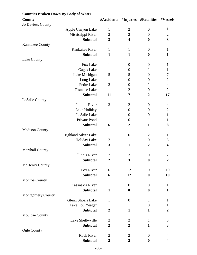| <b>Counties Broken Down By Body of Water</b> |                         |                         |                                |                         |
|----------------------------------------------|-------------------------|-------------------------|--------------------------------|-------------------------|
| County                                       | #Accidents              |                         | #Injuries #Fatalities #Vessels |                         |
| <b>Jo Daviess County</b>                     |                         |                         |                                |                         |
| Apple Canyon Lake                            | $\mathbf{1}$            | $\overline{2}$          | $\boldsymbol{0}$               | $\mathbf{1}$            |
| Mississippi River                            | $\overline{c}$          | $\overline{2}$          | $\boldsymbol{0}$               | 2                       |
| <b>Subtotal</b>                              | $\overline{\mathbf{3}}$ | $\overline{\mathbf{4}}$ | $\boldsymbol{0}$               | $\overline{\mathbf{3}}$ |
| Kankakee County                              |                         |                         |                                |                         |
| Kankakee River                               | $\mathbf{1}$            | $\mathbf{1}$            | $\overline{0}$                 | 1                       |
| <b>Subtotal</b>                              | $\mathbf{1}$            | $\mathbf{1}$            | $\boldsymbol{0}$               | $\mathbf{1}$            |
| Lake County                                  |                         |                         |                                |                         |
| Fox Lake                                     | $\mathbf{1}$            | $\boldsymbol{0}$        | $\boldsymbol{0}$               | 1                       |
| <b>Gages Lake</b>                            | $\mathbf{1}$            | $\boldsymbol{0}$        | 1                              | 1                       |
| Lake Michigan                                | 5                       | 5                       | $\overline{0}$                 | 7                       |
| Long Lake                                    | $\mathbf{1}$            | $\boldsymbol{0}$        | $\boldsymbol{0}$               | $\overline{2}$          |
| Petite Lake                                  | $\overline{2}$          | $\boldsymbol{0}$        | 1                              | $\overline{4}$          |
| Pistakee Lake                                | $\mathbf{1}$            | $\mathbf{2}$            | $\overline{0}$                 | $\overline{2}$          |
| <b>Subtotal</b>                              | 11                      | 7                       | $\overline{2}$                 | 17                      |
| LaSalle County                               |                         |                         |                                |                         |
| <b>Illinois River</b>                        | 3                       | $\overline{2}$          | $\overline{0}$                 | 4                       |
| Lake Holiday                                 | $\mathbf{1}$            | $\boldsymbol{0}$        | $\boldsymbol{0}$               | $\mathbf{2}$            |
| LaSalle Lake                                 | 1                       | $\boldsymbol{0}$        | $\boldsymbol{0}$               | 1                       |
| Private Pond                                 | 1                       | $\boldsymbol{0}$        | $\mathbf{1}$                   | 1                       |
| <b>Subtotal</b>                              | 6                       | $\overline{2}$          | $\mathbf{1}$                   | 8                       |
| <b>Madison County</b>                        |                         |                         |                                |                         |
| <b>Highland Silver Lake</b>                  | 1                       | $\boldsymbol{0}$        | $\overline{2}$                 | 1                       |
| Holiday Lake                                 | $\overline{c}$          | $\mathbf{1}$            | $\boldsymbol{0}$               | 3                       |
| <b>Subtotal</b>                              | 3                       | $\mathbf{1}$            | $\overline{2}$                 | 4                       |
| <b>Marshall County</b>                       |                         |                         |                                |                         |
| <b>Illinois River</b>                        | $\mathfrak{2}$          | 3                       | $\boldsymbol{0}$               | $\overline{2}$          |
| <b>Subtotal</b>                              | $\overline{2}$          | 3                       | $\boldsymbol{0}$               | $\overline{2}$          |
| <b>McHenry County</b>                        |                         |                         |                                |                         |
| Fox River                                    | 6                       | 12                      | $\overline{0}$                 | 10                      |
| <b>Subtotal</b>                              | 6                       | 12                      | $\bf{0}$                       | 10                      |
| Monroe County                                |                         |                         |                                |                         |
| Kaskaskia River                              | $\mathbf{1}$            | $\boldsymbol{0}$        | $\theta$                       | $\mathbf{1}$            |
| <b>Subtotal</b>                              | $\mathbf{1}$            | $\boldsymbol{0}$        | $\boldsymbol{0}$               | $\mathbf{1}$            |
| <b>Montgomery County</b>                     |                         |                         |                                |                         |
| <b>Glenn Shoals Lake</b>                     | $\mathbf{1}$            | $\overline{0}$          | $\mathbf{1}$                   | $\mathbf{1}$            |
| Lake Lou Yeager                              | 1                       | $\mathbf{1}$            | $\boldsymbol{0}$               | $\mathbf{1}$            |
| <b>Subtotal</b>                              | $\overline{2}$          | 1                       | 1                              | $\overline{2}$          |
| Moultrie County                              |                         |                         |                                |                         |
| Lake Shelbyville                             | $\overline{2}$          | 2                       | $\mathbf{1}$                   | 3                       |
| <b>Subtotal</b>                              | $\overline{2}$          | $\overline{2}$          | $\mathbf{1}$                   | 3                       |
| Ogle County                                  |                         |                         |                                |                         |
| <b>Rock River</b>                            | $\overline{2}$          | $\overline{2}$          | $\boldsymbol{0}$               | 4                       |
| <b>Subtotal</b>                              | $\boldsymbol{2}$        | $\overline{2}$          | $\boldsymbol{0}$               | 4                       |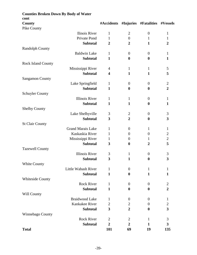| <b>Counties Broken Down By Body of Water</b> |                         |                  |                                |                |
|----------------------------------------------|-------------------------|------------------|--------------------------------|----------------|
| cont                                         |                         |                  |                                |                |
| <b>County</b>                                | #Accidents              |                  | #Injuries #Fatalities #Vessels |                |
| Pike County                                  |                         |                  |                                |                |
| Ilinois River                                | $\mathbf{1}$            | $\overline{2}$   | $\overline{0}$                 | 1              |
| Private Pond                                 | $\mathbf{1}$            | $\boldsymbol{0}$ | $\mathbf{1}$                   | $\mathbf{1}$   |
| <b>Subtotal</b>                              | $\overline{2}$          | $\boldsymbol{2}$ | $\mathbf{1}$                   | $\overline{2}$ |
| <b>Randolph County</b>                       |                         |                  |                                |                |
| <b>Baldwin Lake</b>                          | $\mathbf{1}$            | $\boldsymbol{0}$ | $\boldsymbol{0}$               | $\mathbf{1}$   |
| <b>Subtotal</b>                              | $\mathbf{1}$            | $\boldsymbol{0}$ | $\boldsymbol{0}$               | $\mathbf{1}$   |
| <b>Rock Island County</b>                    |                         |                  |                                |                |
| Mississippi River                            | 4                       | $\mathbf{1}$     | $\mathbf{1}$                   | 5              |
| <b>Subtotal</b>                              | $\overline{\mathbf{4}}$ | $\mathbf{1}$     | $\mathbf{1}$                   | 5              |
| <b>Sangamon County</b>                       |                         |                  |                                |                |
| Lake Springfield                             | $\mathbf{1}$            | $\boldsymbol{0}$ | $\overline{0}$                 | $\overline{2}$ |
| <b>Subtotal</b>                              | $\mathbf{1}$            | $\boldsymbol{0}$ | $\boldsymbol{0}$               | $\overline{2}$ |
| <b>Schuyler County</b>                       |                         |                  |                                |                |
| <b>Illinois River</b>                        | $\mathbf{1}$            | $\mathbf{1}$     | $\theta$                       | 1              |
| <b>Subtotal</b>                              | $\mathbf{1}$            | $\mathbf{1}$     | $\boldsymbol{0}$               | $\mathbf{1}$   |
| <b>Shelby County</b>                         |                         |                  |                                |                |
| Lake Shelbyville                             | 3                       | $\overline{2}$   | $\boldsymbol{0}$               | 3              |
| <b>Subtotal</b>                              | 3                       | $\overline{2}$   | $\boldsymbol{0}$               | 3              |
| <b>St Clair County</b>                       |                         |                  |                                |                |
| <b>Grand Marais Lake</b>                     | $\mathbf{1}$            | $\overline{0}$   | $\mathbf{1}$                   | $\mathbf{1}$   |
| Kaskaskia River                              | $\mathbf{1}$            | $\boldsymbol{0}$ | $\overline{0}$                 | $\overline{c}$ |
| Mississippi River                            | $\mathbf{1}$            | $\boldsymbol{0}$ | $\mathbf{1}$                   | $\overline{2}$ |
| <b>Subtotal</b>                              | 3                       | $\boldsymbol{0}$ | $\overline{2}$                 | 5              |
| <b>Tazewell County</b>                       |                         |                  |                                |                |
| <b>Illinois River</b>                        | 3                       | $\mathbf{1}$     | $\boldsymbol{0}$               | 3              |
| <b>Subtotal</b>                              | 3                       | $\mathbf{1}$     | $\boldsymbol{0}$               | 3              |
| White County                                 |                         |                  |                                |                |
| Little Wabash River                          | $\mathbf{1}$            | $\boldsymbol{0}$ | $\mathbf{1}$                   | $\mathbf{1}$   |
| <b>Subtotal</b>                              | $\mathbf{1}$            | $\boldsymbol{0}$ | $\mathbf{1}$                   | 1              |
| Whiteside County                             |                         |                  |                                |                |
| <b>Rock River</b>                            | $\mathbf{1}$            | $\theta$         | $\boldsymbol{0}$               | $\overline{2}$ |
| <b>Subtotal</b>                              | $\mathbf{1}$            | $\boldsymbol{0}$ | $\boldsymbol{0}$               | $\overline{2}$ |
| Will County                                  |                         |                  |                                |                |
| <b>Braidwood Lake</b>                        | $\mathbf{1}$            | $\boldsymbol{0}$ | $\theta$                       | 1              |
| Kankakee River                               | $\overline{2}$          | $\overline{2}$   | $\overline{0}$                 | $\overline{2}$ |
| <b>Subtotal</b>                              | 3                       | $\boldsymbol{2}$ | $\boldsymbol{0}$               | 3              |
| Winnebago County                             |                         |                  |                                |                |
| <b>Rock River</b>                            | 2                       | $\overline{c}$   | 1                              | 3              |
| <b>Subtotal</b>                              | $\overline{2}$          | $\overline{2}$   | 1                              | 3              |
| <b>Total</b>                                 | <b>101</b>              | 69               | 19                             | 135            |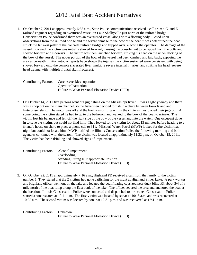#### 2012 Fatal Boat Accident Narratives

1. On October 7, 2011 at approximately 6:58 a.m., State Police communications received a call from a C. and E. railroad engineer regarding an overturned vessel on Lake Shelbyville just north of the railroad bridge. Conservation Police confirmed there was an overturned vessel along with a floating body. Based upon observations from the railroad bridge and the severe damage to the bow of the boat, it was determined the boat struck the far west pillar of the concrete railroad bridge and flipped over, ejecting the operator. The damage of the vessel indicated the victim was initially shoved forward, causing the console unit to be ripped from the bolts and shoved forward and sideways. The victim was then launched forward, striking his head on the under decking of the bow of the vessel. The upper portion of the bow of the vessel had been crushed and laid back, exposing the area underneath. Initial autopsy reports have shown the injuries the victim sustained were consistent with being shoved forward onto the console (lacerated liver, multiple severe internal injuries) and striking his head (severe head trauma with multiple frontal skull fractures).

| Contributing Factors: Careless/reckless operation |
|---------------------------------------------------|
| <b>Operator Inattention</b>                       |
| Failure to Wear Personal Floatation Device (PFD)  |

2. On October 14, 2011 five persons went out jug fishing on the Mississippi River. It was slightly windy and there was a chop out on the main channel, so the fishermen decided to fish in a chute between Iowa Island and Enterprise Island. The motor was off and the boat was drifting within the chute as they placed their jugs out. At some point, the victim stated he had to go to the bathroom and walked to the bow of the boat to urinate. The victim lost his balance and fell off the right side of the bow of the vessel and into the water. One occupant dove in to save the victim, but could not find him. They looked for the victim for about 15 minutes before heading to a friend's house on shore to place a phone call to 911. Missouri Water Patrol (MWP) looked for the victim that night but could not locate him. MWP notified the Illinois Conservation Police the following morning and both agencies continued with the search. The victim was located at approximately 11:32 p.m. on October 15, 2011. The victim had been drinking and showed signs of impairment.

| Contributing Factors: Alcohol Impairment |                                                  |
|------------------------------------------|--------------------------------------------------|
|                                          | Overloading                                      |
|                                          | Standing/Sitting In Inappropriate Position       |
|                                          | Failure to Wear Personal Floatation Device (PFD) |

3. On October 22, 2011 at approximately 7:16 a.m., Highland PD received a call from the family of the victim number 1. They stated that the 2 victims had gone catfishing for the night at Highland Silver Lake. A park worker and Highland officer went out on the lake and located the boat floating capsized near duck blind #3, about 3/4 of a mile north of the boat ramp along the East bank of the lake. The officer secured the area and anchored the boat at the location. Illinois Conservation Police were contacted and dispatched to the scene. Conservation Police started a sonar search at 10:11 a.m. The first victim was located by sonar at 10:18 a.m. and was recovered at 10:35 a.m. The second victim was located by sonar at 12:31 p.m. and was recovered at 12:41 p.m.

Contributing Factors: Unknown Failure to Wear Personal Floatation Device (PFD)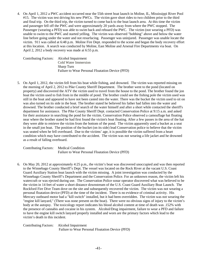4. On April 1, 2012 a PWC accident occurred near the 55th street boat launch in Moline, IL, Mississippi River Pool #15. The victim was test driving his new PWCs. The victim gave short rides to two children prior to the third and final trip. On the third trip, the victim turned to come back to the boat launch area. At this time the victim and passenger fell off the PWC and were approximately 20 yards away from where the PWC stopped. The Passenger (wearing a PFD) was able to swim back and reboard the PWC. The victim (not wearing a PFD) was unable to swim to the PWC and started yelling. The victim was observed "bobbing" above and below the water line before going under the water and not resurfacing. Passenger was uninjured. Passenger was unable locate the victim. 911 was called at 6:48 p.m. Moline Fire Dept. responded to the scene and began the body recovery effort at this location. A search was conducted by Moline, East Moline and Arsenal Fire Departments via boat. On April 2, 2012 a body recovery was made at 6:55 p.m.

Contributing Factors: Alcohol Impairment Cold Water Immersion Sharp Turn Failure to Wear Personal Floatation Device (PFD)

5. On April 1, 2012, the victim fell from his boat while fishing, and drowned. The victim was reported missing on the morning of April 2, 2012 to Pike County Sheriff Department. The brother went to the pond (located on property) and discovered the ATV the victim used to travel from the house to the pond. The brother found the jon boat the victim used to fish from in the middle of pond. The brother could see the fishing pole the victim used was still in the boat and appeared to have not been casted into the water. There was the bucket the victim used to sit on was also turned on its side in the boat. The brother stated he believed his father had fallen into the water and drowned. The brother conducted a brief search of the water himself and after a short while contacted the sheriff's department for assistance. The Pike County Sheriff Dept. contacted Conservation Police at 9:15 a.m. and asked for their assistance in searching the pond for the victim. Conservation Police observed a camouflage hat floating near where the brother stated he had first found the victim's boat floating. After a few passes in the area of the hat they were able to retrieve the victim from the bottom of the pond. The victim apparently used a bucket as a seat in the small jon boat. The position of the bucket (on its side) lead Conservation police to believe that the victim was seated when he fell overboard. Due to the victims' age, it is possible the victim suffered from a heart condition which may have contributed to the accident. The victim was not wearing a life jacket and he drowned as a result of falling overboard.

Contributing Factors: Medical Condition Failure to Wear Personal Floatation Device (PFD)

6. On May 20, 2012 at approximately 4:25 p.m., the victim's boat was discovered unoccupied and was then reported to the Winnebago County Sheriff's Dept. The vessel was located on the Rock River at the vacant U.S. Coast Guard Auxiliary Station boat launch with the victim missing. A joint investigation was conducted by the Winnebago County Sheriff's Department and the Conservation Police. For an unknown reason, the victim left his watercraft or was ejected during use. The Conservation Police sonar operator discovered what was believed to be the victim in 14 feet of water a short distance downstream of the U.S. Coast Guard Auxiliary Boat Launch. The Rockford Fire Dive Team dove on the site and subsequently recovered the victim. The victim was not wearing a personal floatation device (PFD) at the time of the incident. There is no evidence of criminal activity. His Mercury outboard motor had a "kill switch" installed, but it had been overridden. The victim was not wearing the "engine kill lanyard," (There was none present on the boat). There were no obvious signs of injury to the victim's body at the autopsy. The toxicology report indicates his blood alcohol content at time of death was .152% with the presence of cannabis and cocaine in his system. Alcohol/Drug impairment, failure to wear a PFD and failure to have the engine kill switch lanyard properly installed and worn are the primary factors which lead to the victim's death in this incident.

Contributing Factors: Alcohol Impairment Failure to Wear Personal Floatation Device (PFD)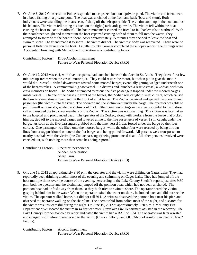7. On June 6, 2012 Conservation Police responded to a capsized boat on a private pond. The victim and friend were in a boat, fishing on a private pond. The boat was anchored at the front and back (bow and stern). Both individuals were straddling the boat's seats, fishing off the left (port) side. The victim stood up in the boat and lost his balance. The victim fell hitting his back on the right (starboard) gunwale. The victim fell within the boat causing the boat to lean to starboard. The boat's movement caused the friend to fall backwards to starboard. With their combined weight and momentum the boat capsized causing both of them to fall into the water. They attempted to swim with the boat to shore. After approximately 15 minutes they decided to leave the boat and swim to shore. The friend made it to shore. The victim did not. The victims' body was recovered. There were no personal flotation devices on the boat. LaSalle County Coroner completed the autopsy report. The findings were Accidental Drowning with Methadone Intoxication as a contributing factor.

Contributing Factors: Drug/Alcohol Impairment Failure to Wear Personal Floatation Device (PFD)

8. On June 12, 2012 vessel 1, with five occupants, had launched beneath the Arch in St. Louis. They drove for a few minutes upstream when the vessel motor quit. They could restart the motor, but when put in gear the motor would die. Vessel 1 drifted downstream toward some moored barges, eventually getting wedged underneath one of the barge's rakes. A commercial tug saw vessel 1 in distress and launched a rescue vessel, a Zodiac, with two crew members on board. The Zodiac attempted to rescue the five passengers trapped under the moored barges inside vessel 1. On one of the passes in front of the barges, the Zodiac was caught in swift current, which caused the bow to swing downstream and hit the front of a flat barge. The Zodiac capsized and ejected the operator and passenger (the victim) into the river. The operator and the victim went under the barge. The operator was able to pull himself out quickly, while the victim could not. Other commercial tugs in the area responded to the distress call and rescued the two crew members of the Zodiac. The victim was not breathing. The victim was later taken to the hospital and pronounced dead. The operator of the Zodiac, along with workers from the barge that picked him up, tied off to the moored barges and lowered a line to the five passengers of vessel 1 still caught under the barge. As soon as the five passengers grabbed onto the line, vessel 1 was forced under the barge by the river current. One passenger was lifted onto the moored barges, while the other four were rescued by being thrown lines from a tug positioned on one of the flat barges and being pulled forward. All persons were transported to nearby hospitals with the victim (the Zodiac passenger) being pronounced dead. All other persons involved were checked out, with nothing more than scratches being reported.

| Contributing Factors: Operator Inexperience      |
|--------------------------------------------------|
| Sudden Acceleration                              |
| <b>Sharp Turn</b>                                |
| Failure to Wear Personal Floatation Device (PFD) |

9. On June 18, 2012 at approximately 9:30 p.m. the operator and the victim were drifting on Gages Lake. They had reportedly been drinking alcohol most of the evening and swimming on Gages Lake. They had jumped off the boat multiple times over the course of the evening. According to the Lake County Sheriff's report, just after 9:30 p.m. both the operator and the victim had jumped off the pontoon boat, which had not been anchored. The pontoon boat had drifted away from them, so they both tried to swim to shore. The operator heard the victim gasping behind him in the water. When the operator exited the water on shore, he looked back and did not see the victim. The operator walked home, but did not call 911. A witness observed the pontoon boat near his pier, and observed the operator walking on the shoreline. The operator hid from police most of the night, and a search for the victim was unsuccessful during the night. On June 19, 2012 at approximately 3:20 p.m. a McHenry Fire Department diver located the victim in 44 feet of water. Grayslake Fire Department assisted in the recovery. The Lake County Coroner toxicology report indicated the victim had a BAC of .324. The operator was later arrested and charged with failure to render aid to the victim (Class 2 Felony) and OUI/Alcohol resulting in death (Class 2 Felony).

Contributing Factors: Alcohol Impairment Failure to Wear Personal Floatation Device (PFD)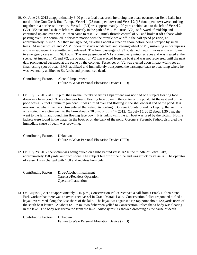10. On June 26, 2012 at approximately 3:00 p.m. a fatal boat crash involving two boats occurred on Rend Lake just north of the Gun Creek Boat Ramp. Vessel 1 (23 foot open bow) and Vessel 2 (15 foot open bow) were cruising together in a northeast direction. Vessel 1 (V1) was approximately 100 yards behind and to the left of Vessel 2 (V2). V2 executed a sharp left turn, directly in the path of V1. V1 struck V2 just forward of midship and continued up and over V2. V1 then came to rest. V1 struck throttle control of V2 and broke it off at base while passing over. V2 continued in forward motion with the throttle broke off in the half speed position, at approximately 35 mph. V2 then ran aground, travelling about 40 feet on shore before being stopped by small trees. At impact of V1 and V2, V1 operator struck windshield and steering wheel of V1, sustaining minor injuries and was subsequently admitted and released. The front passenger of V1 sustained major injuries and was flown to emergency care unit in St. Louis. The rear passenger of V1 sustained very minor scrapes and was treated at the scene. At impact of V1 and V2, the operator of V2 was ejected from the boat and was not recovered until the next day, pronounced deceased at the scene by the coroner. Passenger on V2 was ejected upon impact with trees at final resting spot of boat. EMS stabilized and immediately transported the passenger back to boat ramp where he was eventually airlifted to St. Louis and pronounced dead.

Contributing Factors: Alcohol Impairment Failure to Wear Personal Floatation Device (PFD)

11. On July 15, 2012 at 1:53 p.m. the Greene County Sheriff's Department was notified of a subject floating face down in a farm pond. The victim was found floating face down in the center of the pond. At the east end of the pond was a 12 foot aluminum jon boat. It was turned over and floating in the shallow east end of the pond. It is unknown at what time the victim entered the water. According to Greene County Sheriff's Deputy, the victim's wife stated the victim went to the farm about 2:30 p.m. on July 14, 2012. On July 15, 2012 about 1:30 p.m. she went to the farm and found him floating face down. It is unknown if the jon boat was used by the victim. No life jackets were found in the water, in the boat, or on the bank of the pond. Coroner's Forensic Pathologist ruled the immediate cause of death was drowning.

Contributing Factors: Unknown Failure to Wear Personal Floatation Device (PFD)

12. On July 28, 2012 the victim was being pulled on a tube behind vessel #2 In the middle of Petite Lake, approximately 150 yards. out from shore The subject fell off of the tube and was struck by vessel #1.The operator of vessel 1 was charged with OUI and reckless homicide.

| <b>Contributing Factors:</b> | Drug/Alcohol Impairment     |
|------------------------------|-----------------------------|
|                              | Careless/Reckless Operation |
|                              | <b>Operator Inattention</b> |

13. On August 8, 2012 at approximately 5:15 p.m., Conservation Police received a call from a Frank Holten State Park worker that there was an overturned vessel in Grand Marais Lake. Conservation Police responded to find a kayak overturned along the East shore of the lake. The kayak was against a rip rap point about 120 yards north of the south boat launch. At about 6:10 p.m., two fishermen yelled to Conservation Police that a body was floating in the lake. The body was recovered from the lake. Autopsy results showed drowning as the cause of death.

Contributing Factors: Unknown Failure to Wear Personal Floatation Device (PFD)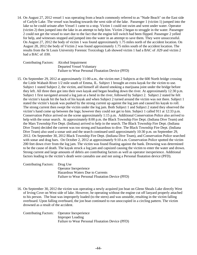14. On August 27, 2012 vessel 1 was operating from a beach commonly referred to as "Nude Beach" on the East side of Carlyle Lake. The vessel was heading towards the west side of the lake. Passenger 1 (victim 1) jumped into the lake so he could urinate after Vessel 1 came to a stop. Victim 1 could not swim and went under water. Operator (victim 2) then jumped into the lake in an attempt to help him. Victim 2 began to struggle in the water. Passenger 2 could not get the vessel to start due to the fact that the engine kill switch had been flipped. Passenger 2 yelled for help, and witnesses stopped and jumped into the water in an attempt to save them. They were unsuccessful. On August 27, 2012 the body of victim 1 was found approximately 1.75 miles north of the accident location. On August 28, 2012 the body of Victim 2 was found approximately 1.75 miles south of the accident location. The results from the St Louis University Forensic Toxicology Lab showed victim 1 had a BAC of .029 and victim 2 had a BAC of .030.

| Contributing Factors: Alcohol Impairment |                                                  |
|------------------------------------------|--------------------------------------------------|
|                                          | Departed Vessel Voluntary                        |
|                                          | Failure to Wear Personal Floatation Device (PFD) |

15. On September 29, 2012 at approximately 11:00 a.m., the victim met 2 Subjects at the 600 North bridge crossing the Little Wabash River 1/2 mile south of Emma, IL. Subject 1 brought an extra kayak for the victim to use. Subject 1 stated Subject 2, the victim, and himself all shared smoking a marijuana joint under the bridge before they left. All three then got into their own kayak and began heading down the river. At approximately 12:30 p.m. Subject 1 first navigated around a log jam at a bend in the river, followed by Subject 2. Subject 2 stated he felt the victim's kayak hit the back of his kayak and when Subject 2 turned around the victim was not there. Subject 1 stated the victim's kayak was pushed by the strong current up against the log jam and caused his kayak to roll. The strong current then swept the victim under the log jam. Both Subject 1 and Subject 2 stated they observed the victim's hand come up between the logs; however they could not get to him. Subject 1 called 911 at 12:33 p.m. Conservation Police arrived on the scene approximately 1:15 p.m. Additional Conservation Police also arrived to help with the sonar search. At approximately 8:00 p.m. the Black Township Fire Dept. (Indiana Dive Team) and the Mars Township Fire Dept. (Indiana) arrived to help in the search. The Black Township Fire Dept. (Indiana Dive Team) decided the current was too strong and hazardous to dive. The Black Township Fire Dept. (Indiana Dive Team) also used a sonar unit and the search continued until approximately 10:30 p.m. on September 29, 2012. On September 30, 2012 Black Township Fire Dept. (Indiana Dive Team), and Conservation Police searched with sonar and drag bars. On October 2, 2012 at approximately 9:10 a.m. Conservation Police spotted the victim 200 feet down river from the log jam. The victim was found floating against the bank. Drowning was determined to be the cause of death. The kayak struck a log jam and capsized causing the victim to enter the water and drown. Strong current and large amounts of debris are contributing factors as well as operator inexperience. Additional factors leading to the victim's death were cannabis use and not using a Personal floatation device (PFD).

Contributing Factors: Drug Use Operator Inexperience Hazardous Waters Due to Currents Failure to Wear Personal Floatation Device (PFD)

16. On September 30, 2012 the victim was operating a newly acquired jon boat on Glenn Shoals Lake directly West of Irving Cove on West side of lake. However, he operating without the engine cut off lanyard properly attached to his person. The boat was improperly loaded (to the stern) and was unstable, resulting in the victim falling overboard. Upon falling overboard, the jon boat continued to run unoccupied in a circling pattern. The victim drowned as a result of the accident.

| Contributing Factors: Operator Inexperience      |
|--------------------------------------------------|
| <b>Improper Loading</b>                          |
| Failure to Wear Personal Floatation Device (PFD) |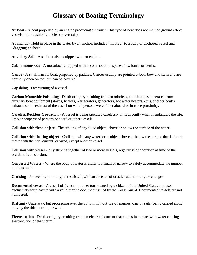### **Glossary of Boating Terminology**

**Airboat** - A boat propelled by an engine producing air thrust. This type of boat does not include ground effect vessels or air cushion vehicles (hovercraft).

**At anchor** - Held in place in the water by an anchor; includes "moored" to a buoy or anchored vessel and "dragging anchor".

**Auxiliary Sail** - A sailboat also equipped with an engine.

**Cabin motorboat** - A motorboat equipped with accommodation spaces, i.e., bunks or berths.

**Canoe** - A small narrow boat, propelled by paddles. Canoes usually are pointed at both bow and stern and are normally open on top, but can be covered.

**Capsizing** - Overturning of a vessel.

**Carbon Monoxide Poisoning** - Death or injury resulting from an odorless, colorless gas generated from auxiliary boat equipment (stoves, heaters, refrigerators, generators, hot water heaters, etc.), another boat's exhaust, or the exhaust of the vessel on which persons were either aboard or in close proximity.

**Careless/Reckless Operation** - A vessel is being operated carelessly or negligently when it endangers the life, limb or property of persons onboard or other vessels.

**Collision with fixed object** - The striking of any fixed object, above or below the surface of the water.

**Collision with floating object** - Collision with any waterborne object above or below the surface that is free to move with the tide, current, or wind, except another vessel.

**Collision with vessel** - Any striking together of two or more vessels, regardless of operation at time of the accident, is a collision.

**Congested Waters** - Where the body of water is either too small or narrow to safely accommodate the number of boats on it.

**Cruising** - Proceeding normally, unrestricted, with an absence of drastic rudder or engine changes.

**Documented vessel** - A vessel of five or more net tons owned by a citizen of the United States and used exclusively for pleasure with a valid marine document issued by the Coast Guard. Documented vessels are not numbered.

**Drifting** - Underway, but proceeding over the bottom without use of engines, oars or sails; being carried along only by the tide, current, or wind.

**Electrocution** - Death or injury resulting from an electrical current that comes in contact with water causing electrocution of the victim.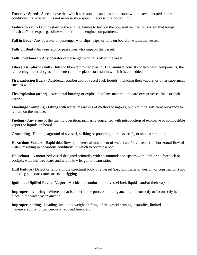**Excessive Speed** - Speed above that which a reasonable and prudent person would have operated under the conditions that existed. It is not necessarily a speed in excess of a posted limit.

**Failure to vent** - Prior to starting the engine, failure to turn on the powered ventilation system that brings in "fresh air" and expels gasoline vapors from the engine compartment.

**Fall in Boat** - Any operator or passenger who slips, trips, or falls on board or within the vessel.

**Falls on Boat -** Any operator or passenger who impacts the vessel.

**Falls Overboard** - Any operator or passenger who falls off of the vessel.

**Fiberglass (plastic) hul**l - Hulls of fiber-reinforced plastic. The laminate consists of two basic components, the reinforcing material (glass filaments) and the plastic or resin in which it is embedded.

**Fire/explosion (fuel**) - Accidental combustion of vessel fuel, liquids, including their vapors, or other substances such as wood.

**Fire/explosion (other)** - Accidental burning or explosion of any material onboard except vessel fuels or their vapors.

**Flooding/Swamping** - Filling with water, regardless of method of ingress, but retaining sufficient buoyancy to remain on the surface.

**Fueling** - Any stage of the fueling operation; primarily concerned with introduction of explosive or combustible vapors or liquids on board.

**Grounding** - Running aground of a vessel, striking or pounding on rocks, reefs, or shoals; stranding.

**Hazardous Waters** - Rapid tidal flows (the vertical movement of water) and/or currents (the horizontal flow of water) resulting in hazardous conditions in which to operate a boat.

**Houseboat** - A motorized vessel designed primarily with accommodation spaces with little or no foredeck or cockpit, with low freeboard and with a low length to beam ratio.

**Hull Failure** - Defect or failure of the structural body of a vessel (i.e., hull material, design, or construction) not including superstructure, masts, or rigging.

**Ignition of Spilled Fuel or Vapor** - Accidental combustion of vessel fuel, liquids, and/or their vapors.

**Improper anchoring** - Where a boat is either in the process of being anchored incorrectly or incorrectly held in place in the water by an anchor.

**Improper loading** - Loading, including weight shifting, of the vessel causing instability, limited maneuverability, or dangerously reduced freeboard.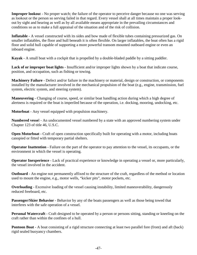**Improper lookout** - No proper watch; the failure of the operator to perceive danger because no one was serving as lookout or the person so serving failed in that regard. Every vessel shall at all times maintain a proper lookout by sight and hearing as well as by all available means appropriate in the prevailing circumstances and conditions so as to make a full appraisal of the situation and of the risk of collision.

**Inflatable -** A vessel constructed with its sides and bow made of flexible tubes containing pressurized gas. On smaller inflatables, the floor and hull beneath it is often flexible. On larger inflatables, the boat often has a rigid floor and solid hull capable of supporting a more powerful transom mounted outboard engine or even an inboard engine.

**Kayak** - A small boat with a cockpit that is propelled by a double-bladed paddle by a sitting paddler.

**Lack of or improper boat lights** - Insufficient and/or improper lights shown by a boat that indicate course, position, and occupation, such as fishing or towing.

**Machinery Failure** - Defect and/or failure in the machinery or material, design or construction, or components installed by the manufacturer involved in the mechanical propulsion of the boat (e.g., engine, transmission, fuel system, electric system, and steering system).

**Maneuvering** - Changing of course, speed, or similar boat handling action during which a high degree of alertness is required or the boat is imperiled because of the operation, i.e. docking, mooring, undocking, etc.

**Motorboat** - Any vessel equipped with propulsion machinery.

**Numbered vesse**l - An undocumented vessel numbered by a state with an approved numbering system under Chapter 123 of title 46, U.S.C.

**Open Motorboat** - Craft of open construction specifically built for operating with a motor, including boats canopied or fitted with temporary partial shelters.

**Operator Inattention** - Failure on the part of the operator to pay attention to the vessel, its occupants, or the environment in which the vessel is operating.

**Operator Inexperience** - Lack of practical experience or knowledge in operating a vessel or, more particularly, the vessel involved in the accident.

**Outboard** - An engine not permanently affixed to the structure of the craft, regardless of the method or location used to mount the engine, e.g., motor wells, "kicker pits", motor pockets, etc.

**Overloading** - Excessive loading of the vessel causing instability, limited maneuverability, dangerously reduced freeboard, etc.

**Passenger/Skier Behavior** - Behavior by any of the boats passengers as well as those being towed that interferes with the safe operation of a vessel.

**Personal Watercraft** - Craft designed to be operated by a person or persons sitting, standing or kneeling on the craft rather than within the confines of a hull.

**Pontoon Boat** - A boat consisting of a rigid structure connecting at least two parallel fore (front) and aft (back) rigid sealed buoyancy chambers.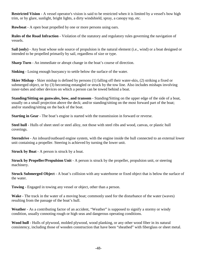**Restricted Vision** - A vessel operator's vision is said to be restricted when it is limited by a vessel's bow high trim, or by glare, sunlight, bright lights, a dirty windshield, spray, a canopy top, etc.

**Rowboat** - A open boat propelled by one or more persons using oars.

**Rules of the Road Infraction** - Violation of the statutory and regulatory rules governing the navigation of vessels.

**Sail (only)** - Any boat whose sole source of propulsion is the natural element (i.e., wind) or a boat designed or intended to be propelled primarily by sail, regardless of size or type.

**Sharp Turn** - An immediate or abrupt change in the boat's course of direction.

**Sinking** - Losing enough buoyancy to settle below the surface of the water.

**Skier Mishap -** Skier mishap is defined by persons (1) falling off their water-skis, (2) striking a fixed or submerged object, or by (3) becoming entangled or struck by the tow line. Also includes mishaps involving inner-tubes and other devices on which a person can be towed behind a boat.

**Standing/Sitting on gunwales, bow, and transom** - Standing/Sitting on the upper edge of the side of a boat, usually on a small projection above the deck; and/or standing/sitting on the most forward part of the boat; and/or standing/sitting on the back of the boat.

**Starting in Gear** - The boat's engine is started with the transmission in forward or reverse.

**Steel hull** - Hulls of sheet steel or steel alloy, not those with steel ribs and wood, canvas, or plastic hull coverings.

**Sterndrive** - An inboard/outboard engine system, with the engine inside the hull connected to an external lower unit containing a propeller. Steering is achieved by turning the lower unit.

**Struck by Boat** - A person is struck by a boat.

**Struck by Propeller/Propulsion Unit** - A person is struck by the propeller, propulsion unit, or steering machinery.

**Struck Submerged Object** - A boat's collision with any waterborne or fixed object that is below the surface of the water.

**Towing** - Engaged in towing any vessel or object, other than a person.

**Wake** - The track in the water of a moving boat; commonly used for the disturbance of the water (waves) resulting from the passage of the boat's hull.

**Weather** - As a contributing factor of an accident, "Weather" is supposed to signify a stormy or windy condition, usually connoting rough or high seas and dangerous operating conditions.

**Wood hull** - Hulls of plywood, molded plywood, wood planking, or any other wood fiber in its natural consistency, including those of wooden construction that have been "sheathed" with fiberglass or sheet metal.